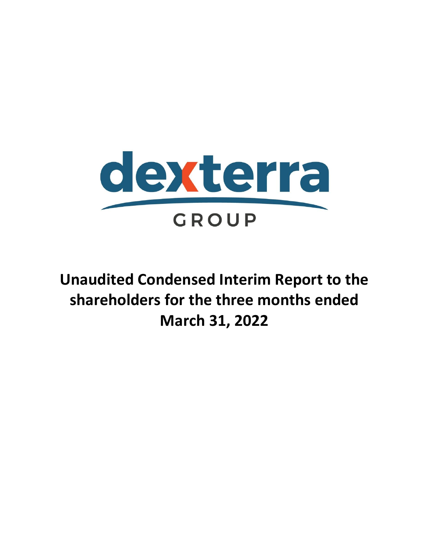

**Unaudited Condensed Interim Report to the shareholders for the three months ended March 31, 2022**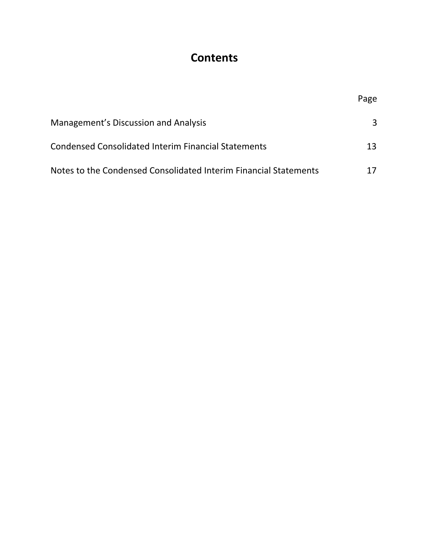# **Contents**

|                                                                  | Page |
|------------------------------------------------------------------|------|
| Management's Discussion and Analysis                             | 3    |
| <b>Condensed Consolidated Interim Financial Statements</b>       | 13.  |
| Notes to the Condensed Consolidated Interim Financial Statements |      |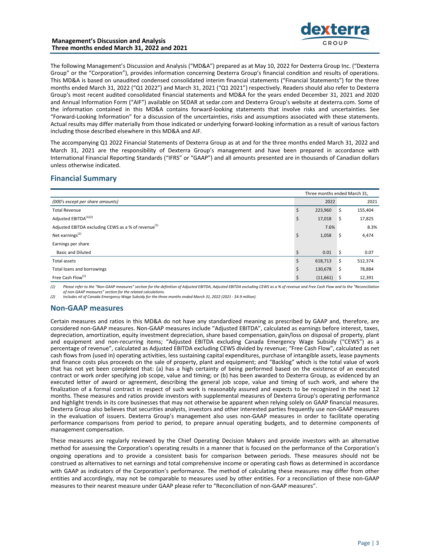

The following Management's Discussion and Analysis ("MD&A") prepared as at May 10, 2022 for Dexterra Group Inc. ("Dexterra Group" or the "Corporation"), provides information concerning Dexterra Group's financial condition and results of operations. This MD&A is based on unaudited condensed consolidated interim financial statements ("Financial Statements") for the three months ended March 31, 2022 ("Q1 2022") and March 31, 2021 ("Q1 2021") respectively. Readers should also refer to Dexterra Group's most recent audited consolidated financial statements and MD&A for the years ended December 31, 2021 and 2020 and Annual Information Form ("AIF") available on SEDAR at sedar.com and Dexterra Group's website at dexterra.com. Some of the information contained in this MD&A contains forward-looking statements that involve risks and uncertainties. See "Forward-Looking Information" for a discussion of the uncertainties, risks and assumptions associated with these statements. Actual results may differ materially from those indicated or underlying forward-looking information as a result of various factors including those described elsewhere in this MD&A and AIF.

The accompanying Q1 2022 Financial Statements of Dexterra Group as at and for the three months ended March 31, 2022 and March 31, 2021 are the responsibility of Dexterra Group's management and have been prepared in accordance with International Financial Reporting Standards ("IFRS" or "GAAP") and all amounts presented are in thousands of Canadian dollars unless otherwise indicated.

# **Financial Summary**

| Three months ended March 31,                                    |    |          |      |         |  |
|-----------------------------------------------------------------|----|----------|------|---------|--|
| (000's except per share amounts)                                |    | 2022     |      | 2021    |  |
| <b>Total Revenue</b>                                            | Ś  | 223,960  | \$   | 155,404 |  |
| Adjusted EBITDA <sup>(1)(2)</sup>                               | \$ | 17,018   | S    | 17,825  |  |
| Adjusted EBITDA excluding CEWS as a % of revenue <sup>(1)</sup> |    | 7.6%     |      | 8.3%    |  |
| Net earnings <sup>(2)</sup>                                     | \$ | 1,058    | -\$  | 4,474   |  |
| Earnings per share                                              |    |          |      |         |  |
| <b>Basic and Diluted</b>                                        |    | 0.01     | S    | 0.07    |  |
| <b>Total assets</b>                                             | ς  | 618,713  | \$   | 512,374 |  |
| Total loans and borrowings                                      | Ś  | 130,678  | S    | 78,884  |  |
| Free Cash Flow <sup>(1)</sup>                                   |    | (11,661) | - \$ | 12,391  |  |

(1) Please refer to the "Non-GAAP measures" section for the definition of Adjusted EBITDA, Adjusted EBITDA excluding CEWS as a % of revenue and Free Cash Flow and to the "Reconciliation of non-GAAP measures" section for the related calculations.

*(2) Includes nil of Canada Emergency Wage Subsidy for the three months ended March 31, 2022 (2021 - \$4.9 million).* 

# **Non-GAAP** measures

Certain measures and ratios in this MD&A do not have any standardized meaning as prescribed by GAAP and, therefore, are considered non-GAAP measures. Non-GAAP measures include "Adjusted EBITDA", calculated as earnings before interest, taxes, depreciation, amortization, equity investment depreciation, share based compensation, gain/loss on disposal of property, plant and equipment and non-recurring items; "Adjusted EBITDA excluding Canada Emergency Wage Subsidy ("CEWS") as a percentage of revenue", calculated as Adjusted EBITDA excluding CEWS divided by revenue; "Free Cash Flow", calculated as net cash flows from (used in) operating activities, less sustaining capital expenditures, purchase of intangible assets, lease payments and finance costs plus proceeds on the sale of property, plant and equipment; and "Backlog" which is the total value of work that has not yet been completed that: (a) has a high certainty of being performed based on the existence of an executed contract or work order specifying job scope, value and timing; or (b) has been awarded to Dexterra Group, as evidenced by an executed letter of award or agreement, describing the general job scope, value and timing of such work, and where the finalization of a formal contract in respect of such work is reasonably assured and expects to be recognized in the next 12 months. These measures and ratios provide investors with supplemental measures of Dexterra Group's operating performance and highlight trends in its core businesses that may not otherwise be apparent when relying solely on GAAP financial measures. Dexterra Group also believes that securities analysts, investors and other interested parties frequently use non-GAAP measures in the evaluation of issuers. Dexterra Group's management also uses non-GAAP measures in order to facilitate operating performance comparisons from period to period, to prepare annual operating budgets, and to determine components of management compensation.

These measures are regularly reviewed by the Chief Operating Decision Makers and provide investors with an alternative method for assessing the Corporation's operating results in a manner that is focused on the performance of the Corporation's ongoing operations and to provide a consistent basis for comparison between periods. These measures should not be construed as alternatives to net earnings and total comprehensive income or operating cash flows as determined in accordance with GAAP as indicators of the Corporation's performance. The method of calculating these measures may differ from other entities and accordingly, may not be comparable to measures used by other entities. For a reconciliation of these non-GAAP measures to their nearest measure under GAAP please refer to "Reconciliation of non-GAAP measures".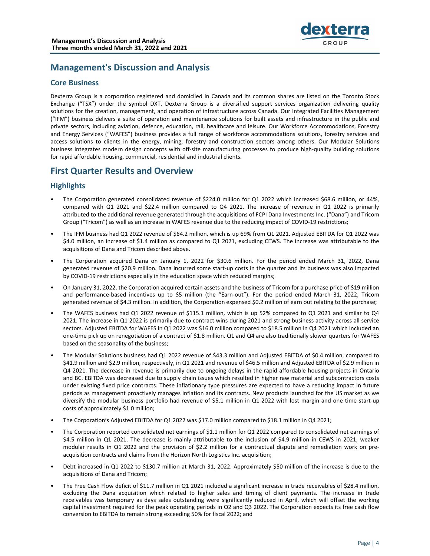

# **Management's Discussion and Analysis**

# **Core Business**

Dexterra Group is a corporation registered and domiciled in Canada and its common shares are listed on the Toronto Stock Exchange ("TSX") under the symbol DXT. Dexterra Group is a diversified support services organization delivering quality solutions for the creation, management, and operation of infrastructure across Canada. Our Integrated Facilities Management ("IFM") business delivers a suite of operation and maintenance solutions for built assets and infrastructure in the public and private sectors, including aviation, defence, education, rail, healthcare and leisure. Our Workforce Accommodations, Forestry and Energy Services ("WAFES") business provides a full range of workforce accommodations solutions, forestry services and access solutions to clients in the energy, mining, forestry and construction sectors among others. Our Modular Solutions business integrates modern design concepts with off-site manufacturing processes to produce high-quality building solutions for rapid affordable housing, commercial, residential and industrial clients.

# **First Quarter Results and Overview**

# **Highlights**

- The Corporation generated consolidated revenue of \$224.0 million for Q1 2022 which increased \$68.6 million, or 44%, compared with Q1 2021 and \$22.4 million compared to Q4 2021. The increase of revenue in Q1 2022 is primarily attributed to the additional revenue generated through the acquisitions of FCPI Dana Investments Inc. ("Dana") and Tricom Group ("Tricom") as well as an increase in WAFES revenue due to the reducing impact of COVID-19 restrictions;
- The IFM business had Q1 2022 revenue of \$64.2 million, which is up 69% from Q1 2021. Adjusted EBITDA for Q1 2022 was \$4.0 million, an increase of \$1.4 million as compared to Q1 2021, excluding CEWS. The increase was attributable to the acquisitions of Dana and Tricom described above.
- The Corporation acquired Dana on January 1, 2022 for \$30.6 million. For the period ended March 31, 2022, Dana generated revenue of \$20.9 million. Dana incurred some start-up costs in the quarter and its business was also impacted by COVID-19 restrictions especially in the education space which reduced margins;
- On January 31, 2022, the Corporation acquired certain assets and the business of Tricom for a purchase price of \$19 million and performance-based incentives up to \$5 million (the "Earn-out"). For the period ended March 31, 2022, Tricom generated revenue of \$4.3 million. In addition, the Corporation expensed \$0.2 million of earn out relating to the purchase;
- The WAFES business had Q1 2022 revenue of \$115.1 million, which is up 52% compared to Q1 2021 and similar to Q4 2021. The increase in Q1 2022 is primarily due to contract wins during 2021 and strong business activity across all service sectors. Adjusted EBITDA for WAFES in Q1 2022 was \$16.0 million compared to \$18.5 million in Q4 2021 which included an one-time pick up on renegotiation of a contract of \$1.8 million. Q1 and Q4 are also traditionally slower quarters for WAFES based on the seasonality of the business;
- The Modular Solutions business had Q1 2022 revenue of \$43.3 million and Adjusted EBITDA of \$0.4 million, compared to \$41.9 million and \$2.9 million, respectively, in Q1 2021 and revenue of \$46.5 million and Adjusted EBITDA of \$2.9 million in Q4 2021. The decrease in revenue is primarily due to ongoing delays in the rapid affordable housing projects in Ontario and BC. EBITDA was decreased due to supply chain issues which resulted in higher raw material and subcontractors costs under existing fixed price contracts. These inflationary type pressures are expected to have a reducing impact in future periods as management proactively manages inflation and its contracts. New products launched for the US market as we diversify the modular business portfolio had revenue of \$5.1 million in Q1 2022 with lost margin and one time start-up costs of approximately \$1.0 million;
- The Corporation's Adjusted EBITDA for Q1 2022 was \$17.0 million compared to \$18.1 million in Q4 2021;
- The Corporation reported consolidated net earnings of \$1.1 million for Q1 2022 compared to consolidated net earnings of \$4.5 million in Q1 2021. The decrease is mainly attributable to the inclusion of \$4.9 million in CEWS in 2021, weaker modular results in Q1 2022 and the provision of \$2.2 million for a contractual dispute and remediation work on preacquisition contracts and claims from the Horizon North Logistics Inc. acquisition;
- Debt increased in Q1 2022 to \$130.7 million at March 31, 2022. Approximately \$50 million of the increase is due to the acquisitions of Dana and Tricom;
- The Free Cash Flow deficit of \$11.7 million in Q1 2021 included a significant increase in trade receivables of \$28.4 million, excluding the Dana acquisition which related to higher sales and timing of client payments. The increase in trade receivables was temporary as days sales outstanding were significantly reduced in April, which will offset the working capital investment required for the peak operating periods in Q2 and Q3 2022. The Corporation expects its free cash flow conversion to EBITDA to remain strong exceeding 50% for fiscal 2022; and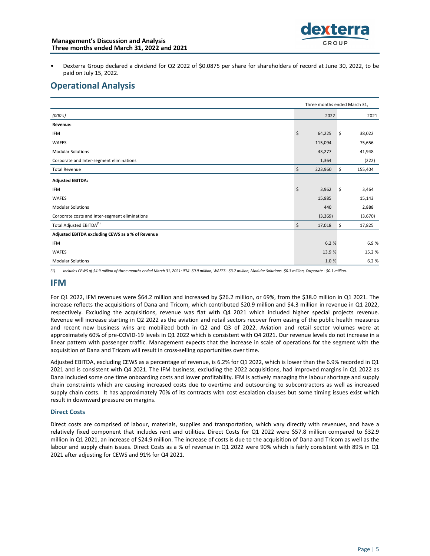- 
- Dexterra Group declared a dividend for Q2 2022 of \$0.0875 per share for shareholders of record at June 30, 2022, to be paid on July 15, 2022.

# **Operational Analysis**

| Three months ended March 31,                     |               |                     |         |  |
|--------------------------------------------------|---------------|---------------------|---------|--|
| (000's)                                          | 2022          |                     | 2021    |  |
| Revenue:                                         |               |                     |         |  |
| <b>IFM</b>                                       | \$<br>64,225  | $\ddot{\mathsf{s}}$ | 38,022  |  |
| <b>WAFES</b>                                     | 115,094       |                     | 75,656  |  |
| <b>Modular Solutions</b>                         | 43,277        |                     | 41,948  |  |
| Corporate and Inter-segment eliminations         | 1,364         |                     | (222)   |  |
| <b>Total Revenue</b>                             | \$<br>223,960 | \$                  | 155,404 |  |
| <b>Adjusted EBITDA:</b>                          |               |                     |         |  |
| <b>IFM</b>                                       | \$<br>3,962   | \$                  | 3,464   |  |
| WAFES                                            | 15,985        |                     | 15,143  |  |
| <b>Modular Solutions</b>                         | 440           |                     | 2,888   |  |
| Corporate costs and Inter-segment eliminations   | (3, 369)      |                     | (3,670) |  |
| Total Adjusted EBITDA <sup>(1)</sup>             | \$<br>17,018  | \$                  | 17,825  |  |
| Adjusted EBITDA excluding CEWS as a % of Revenue |               |                     |         |  |
| IFM                                              | 6.2 %         |                     | 6.9%    |  |
| <b>WAFES</b>                                     | 13.9 %        |                     | 15.2 %  |  |
| <b>Modular Solutions</b>                         | 1.0%          |                     | 6.2 %   |  |

(1) Includes CEWS of \$4.9 million of three months ended March 31, 2021: IFM- \$0.9 million, WAFES - \$3.7 million, Modular Solutions -\$0.3 million, Corporate - \$0.1 million.

# **IFM**

For Q1 2022, IFM revenues were \$64.2 million and increased by \$26.2 million, or 69%, from the \$38.0 million in Q1 2021. The increase reflects the acquisitions of Dana and Tricom, which contributed \$20.9 million and \$4.3 million in revenue in Q1 2022, respectively. Excluding the acquisitions, revenue was flat with Q4 2021 which included higher special projects revenue. Revenue will increase starting in Q2 2022 as the aviation and retail sectors recover from easing of the public health measures and recent new business wins are mobilized both in Q2 and Q3 of 2022. Aviation and retail sector volumes were at approximately 60% of pre-COVID-19 levels in Q1 2022 which is consistent with Q4 2021. Our revenue levels do not increase in a linear pattern with passenger traffic. Management expects that the increase in scale of operations for the segment with the acquisition of Dana and Tricom will result in cross-selling opportunities over time.

Adjusted EBITDA, excluding CEWS as a percentage of revenue, is 6.2% for Q1 2022, which is lower than the 6.9% recorded in Q1 2021 and is consistent with Q4 2021. The IFM business, excluding the 2022 acquisitions, had improved margins in Q1 2022 as Dana included some one time onboarding costs and lower profitability. IFM is actively managing the labour shortage and supply chain constraints which are causing increased costs due to overtime and outsourcing to subcontractors as well as increased supply chain costs. It has approximately 70% of its contracts with cost escalation clauses but some timing issues exist which result in downward pressure on margins.

### **Direct Costs**

Direct costs are comprised of labour, materials, supplies and transportation, which vary directly with revenues, and have a relatively fixed component that includes rent and utilities. Direct Costs for Q1 2022 were \$57.8 million compared to \$32.9 million in Q1 2021, an increase of \$24.9 million. The increase of costs is due to the acquisition of Dana and Tricom as well as the labour and supply chain issues. Direct Costs as a % of revenue in Q1 2022 were 90% which is fairly consistent with 89% in Q1 2021 after adjusting for CEWS and 91% for Q4 2021.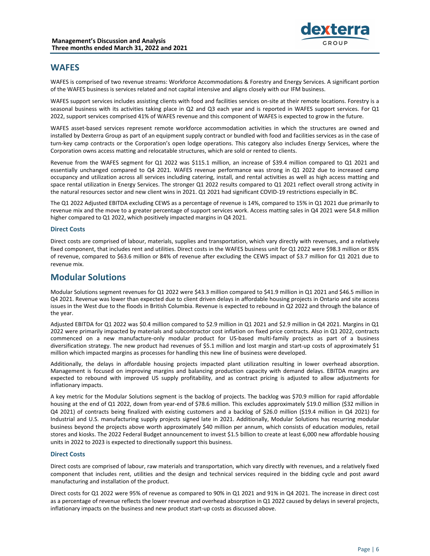

# **WAFES**

WAFES is comprised of two revenue streams: Workforce Accommodations & Forestry and Energy Services. A significant portion of the WAFES business is services related and not capital intensive and aligns closely with our IFM business.

WAFES support services includes assisting clients with food and facilities services on-site at their remote locations. Forestry is a seasonal business with its activities taking place in Q2 and Q3 each year and is reported in WAFES support services. For Q1 2022, support services comprised 41% of WAFES revenue and this component of WAFES is expected to grow in the future.

WAFES asset-based services represent remote workforce accommodation activities in which the structures are owned and installed by Dexterra Group as part of an equipment supply contract or bundled with food and facilities services as in the case of turn-key camp contracts or the Corporation's open lodge operations. This category also includes Energy Services, where the Corporation owns access matting and relocatable structures, which are sold or rented to clients.

Revenue from the WAFES segment for Q1 2022 was \$115.1 million, an increase of \$39.4 million compared to Q1 2021 and essentially unchanged compared to Q4 2021. WAFES revenue performance was strong in Q1 2022 due to increased camp occupancy and utilization across all services including catering, install, and rental activities as well as high access matting and space rental utilization in Energy Services. The stronger Q1 2022 results compared to Q1 2021 reflect overall strong activity in the natural resources sector and new client wins in 2021. Q1 2021 had significant COVID-19 restrictions especially in BC.

The Q1 2022 Adjusted EBITDA excluding CEWS as a percentage of revenue is 14%, compared to 15% in Q1 2021 due primarily to revenue mix and the move to a greater percentage of support services work. Access matting sales in Q4 2021 were \$4.8 million higher compared to Q1 2022, which positively impacted margins in Q4 2021.

### **Direct Costs**

Direct costs are comprised of labour, materials, supplies and transportation, which vary directly with revenues, and a relatively fixed component, that includes rent and utilities. Direct costs in the WAFES business unit for Q1 2022 were \$98.3 million or 85% of revenue, compared to \$63.6 million or 84% of revenue after excluding the CEWS impact of \$3.7 million for Q1 2021 due to revenue mix.

# **Modular Solutions**

Modular Solutions segment revenues for Q1 2022 were \$43.3 million compared to \$41.9 million in Q1 2021 and \$46.5 million in Q4 2021. Revenue was lower than expected due to client driven delays in affordable housing projects in Ontario and site access issues in the West due to the floods in British Columbia. Revenue is expected to rebound in Q2 2022 and through the balance of the year.

Adjusted EBITDA for Q1 2022 was \$0.4 million compared to \$2.9 million in Q1 2021 and \$2.9 million in Q4 2021. Margins in Q1 2022 were primarily impacted by materials and subcontractor cost inflation on fixed price contracts. Also in Q1 2022, contracts commenced on a new manufacture-only modular product for US-based multi-family projects as part of a business diversification strategy. The new product had revenues of \$5.1 million and lost margin and start-up costs of approximately \$1 million which impacted margins as processes for handling this new line of business were developed.

Additionally, the delays in affordable housing projects impacted plant utilization resulting in lower overhead absorption. Management is focused on improving margins and balancing production capacity with demand delays. EBITDA margins are expected to rebound with improved US supply profitability, and as contract pricing is adjusted to allow adjustments for inflationary impacts.

A key metric for the Modular Solutions segment is the backlog of projects. The backlog was \$70.9 million for rapid affordable housing at the end of Q1 2022, down from year-end of \$78.6 million. This excludes approximately \$19.0 million (\$32 million in Q4 2021) of contracts being finalized with existing customers and a backlog of \$26.0 million (\$19.4 million in Q4 2021) for Industrial and U.S. manufacturing supply projects signed late in 2021. Additionally, Modular Solutions has recurring modular business beyond the projects above worth approximately \$40 million per annum, which consists of education modules, retail stores and kiosks. The 2022 Federal Budget announcement to invest \$1.5 billion to create at least 6,000 new affordable housing units in 2022 to 2023 is expected to directionally support this business.

### **Direct Costs**

Direct costs are comprised of labour, raw materials and transportation, which vary directly with revenues, and a relatively fixed component that includes rent, utilities and the design and technical services required in the bidding cycle and post award manufacturing and installation of the product.

Direct costs for Q1 2022 were 95% of revenue as compared to 90% in Q1 2021 and 91% in Q4 2021. The increase in direct cost as a percentage of revenue reflects the lower revenue and overhead absorption in Q1 2022 caused by delays in several projects, inflationary impacts on the business and new product start-up costs as discussed above.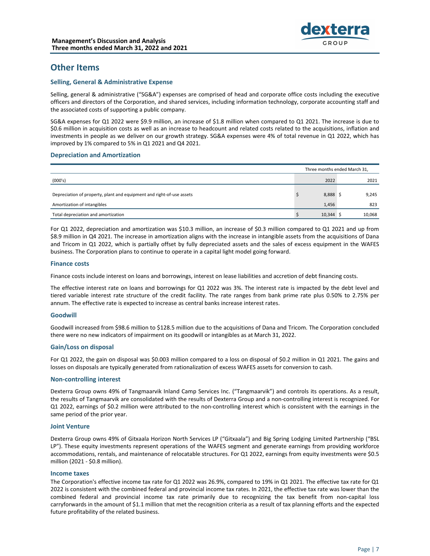

# **Other Items**

### **Selling, General & Administrative Expense**

Selling, general & administrative ("SG&A") expenses are comprised of head and corporate office costs including the executive officers and directors of the Corporation, and shared services, including information technology, corporate accounting staff and the associated costs of supporting a public company.

SG&A expenses for Q1 2022 were \$9.9 million, an increase of \$1.8 million when compared to Q1 2021. The increase is due to \$0.6 million in acquisition costs as well as an increase to headcount and related costs related to the acquisitions, inflation and investments in people as we deliver on our growth strategy. SG&A expenses were 4% of total revenue in Q1 2022, which has improved by 1% compared to 5% in Q1 2021 and Q4 2021.

### **Depreciation and Amortization**

|                                                                       | Three months ended March 31. |        |  |  |
|-----------------------------------------------------------------------|------------------------------|--------|--|--|
| (000's)                                                               | 2022                         | 2021   |  |  |
| Depreciation of property, plant and equipment and right-of-use assets | 8,888 \$                     | 9,245  |  |  |
| Amortization of intangibles                                           | 1,456                        | 823    |  |  |
| Total depreciation and amortization                                   | $10,344$ \$                  | 10,068 |  |  |

For Q1 2022, depreciation and amortization was \$10.3 million, an increase of \$0.3 million compared to Q1 2021 and up from \$8.9 million in Q4 2021. The increase in amortization aligns with the increase in intangible assets from the acquisitions of Dana and Tricom in Q1 2022, which is partially offset by fully depreciated assets and the sales of excess equipment in the WAFES business. The Corporation plans to continue to operate in a capital light model going forward.

### **Finance costs**

Finance costs include interest on loans and borrowings, interest on lease liabilities and accretion of debt financing costs.

The effective interest rate on loans and borrowings for Q1 2022 was 3%. The interest rate is impacted by the debt level and tiered variable interest rate structure of the credit facility. The rate ranges from bank prime rate plus 0.50% to 2.75% per annum. The effective rate is expected to increase as central banks increase interest rates.

### **Goodwill**

Goodwill increased from \$98.6 million to \$128.5 million due to the acquisitions of Dana and Tricom. The Corporation concluded there were no new indicators of impairment on its goodwill or intangibles as at March 31, 2022.

### **Gain/Loss on disposal**

For Q1 2022, the gain on disposal was \$0.003 million compared to a loss on disposal of \$0.2 million in Q1 2021. The gains and losses on disposals are typically generated from rationalization of excess WAFES assets for conversion to cash.

### **Non-controlling interest**

Dexterra Group owns 49% of Tangmaarvik Inland Camp Services Inc. ("Tangmaarvik") and controls its operations. As a result, the results of Tangmaarvik are consolidated with the results of Dexterra Group and a non-controlling interest is recognized. For Q1 2022, earnings of \$0.2 million were attributed to the non-controlling interest which is consistent with the earnings in the same period of the prior year.

### **Joint Venture**

Dexterra Group owns 49% of Gitxaala Horizon North Services LP ("Gitxaala") and Big Spring Lodging Limited Partnership ("BSL LP"). These equity investments represent operations of the WAFES segment and generate earnings from providing workforce accommodations, rentals, and maintenance of relocatable structures. For Q1 2022, earnings from equity investments were \$0.5 million (2021 - \$0.8 million).

### **Income taxes**

The Corporation's effective income tax rate for Q1 2022 was 26.9%, compared to 19% in Q1 2021. The effective tax rate for Q1 2022 is consistent with the combined federal and provincial income tax rates. In 2021, the effective tax rate was lower than the combined federal and provincial income tax rate primarily due to recognizing the tax benefit from non-capital loss carryforwards in the amount of \$1.1 million that met the recognition criteria as a result of tax planning efforts and the expected future profitability of the related business.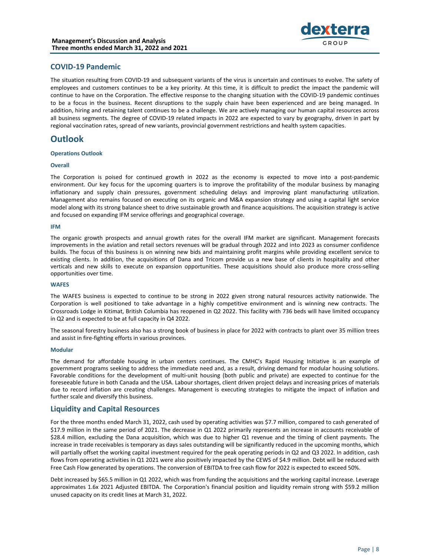

# **COVID-19 Pandemic**

The situation resulting from COVID-19 and subsequent variants of the virus is uncertain and continues to evolve. The safety of employees and customers continues to be a key priority. At this time, it is difficult to predict the impact the pandemic will continue to have on the Corporation. The effective response to the changing situation with the COVID-19 pandemic continues to be a focus in the business. Recent disruptions to the supply chain have been experienced and are being managed. In addition, hiring and retaining talent continues to be a challenge. We are actively managing our human capital resources across all business segments. The degree of COVID-19 related impacts in 2022 are expected to vary by geography, driven in part by regional vaccination rates, spread of new variants, provincial government restrictions and health system capacities.

# **Outlook**

### **Operations Outlook**

### **Overall**

The Corporation is poised for continued growth in 2022 as the economy is expected to move into a post-pandemic environment. Our key focus for the upcoming quarters is to improve the profitability of the modular business by managing inflationary and supply chain pressures, government scheduling delays and improving plant manufacturing utilization. Management also remains focused on executing on its organic and M&A expansion strategy and using a capital light service model along with its strong balance sheet to drive sustainable growth and finance acquisitions. The acquisition strategy is active and focused on expanding IFM service offerings and geographical coverage.

### **IFM**

The organic growth prospects and annual growth rates for the overall IFM market are significant. Management forecasts improvements in the aviation and retail sectors revenues will be gradual through 2022 and into 2023 as consumer confidence builds. The focus of this business is on winning new bids and maintaining profit margins while providing excellent service to existing clients. In addition, the acquisitions of Dana and Tricom provide us a new base of clients in hospitality and other verticals and new skills to execute on expansion opportunities. These acquisitions should also produce more cross-selling opportunities over time.

### **WAFES**

The WAFES business is expected to continue to be strong in 2022 given strong natural resources activity nationwide. The Corporation is well positioned to take advantage in a highly competitive environment and is winning new contracts. The Crossroads Lodge in Kitimat, British Columbia has reopened in Q2 2022. This facility with 736 beds will have limited occupancy in Q2 and is expected to be at full capacity in Q4 2022.

The seasonal forestry business also has a strong book of business in place for 2022 with contracts to plant over 35 million trees and assist in fire-fighting efforts in various provinces.

### **Modular**

The demand for affordable housing in urban centers continues. The CMHC's Rapid Housing Initiative is an example of government programs seeking to address the immediate need and, as a result, driving demand for modular housing solutions. Favorable conditions for the development of multi-unit housing (both public and private) are expected to continue for the foreseeable future in both Canada and the USA. Labour shortages, client driven project delays and increasing prices of materials due to record inflation are creating challenges. Management is executing strategies to mitigate the impact of inflation and further scale and diversify this business.

# **Liquidity and Capital Resources**

For the three months ended March 31, 2022, cash used by operating activities was \$7.7 million, compared to cash generated of \$17.9 million in the same period of 2021. The decrease in Q1 2022 primarily represents an increase in accounts receivable of \$28.4 million, excluding the Dana acquisition, which was due to higher Q1 revenue and the timing of client payments. The increase in trade receivables is temporary as days sales outstanding will be significantly reduced in the upcoming months, which will partially offset the working capital investment required for the peak operating periods in Q2 and Q3 2022. In addition, cash flows from operating activities in Q1 2021 were also positively impacted by the CEWS of \$4.9 million. Debt will be reduced with Free Cash Flow generated by operations. The conversion of EBITDA to free cash flow for 2022 is expected to exceed 50%.

Debt increased by \$65.5 million in Q1 2022, which was from funding the acquisitions and the working capital increase. Leverage approximates 1.6x 2021 Adjusted EBITDA. The Corporation's financial position and liquidity remain strong with \$59.2 million unused capacity on its credit lines at March 31, 2022.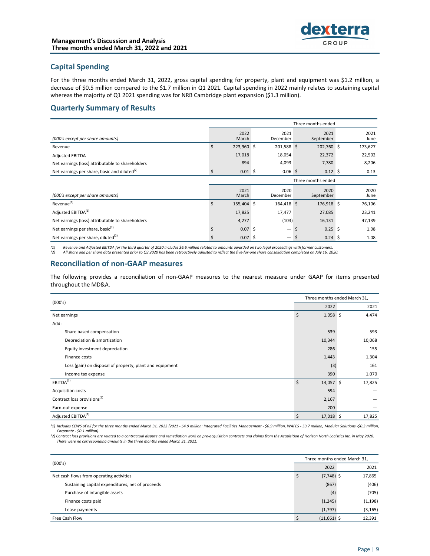# **Capital Spending**

For the three months ended March 31, 2022, gross capital spending for property, plant and equipment was \$1.2 million, a decrease of \$0.5 million compared to the \$1.7 million in Q1 2021. Capital spending in 2022 mainly relates to sustaining capital whereas the majority of Q1 2021 spending was for NRB Cambridge plant expansion (\$1.3 million).

# **Quarterly Summary of Results**

|                                                    | Three months ended |               |  |                   |    |                    |  |              |
|----------------------------------------------------|--------------------|---------------|--|-------------------|----|--------------------|--|--------------|
| (000's except per share amounts)                   |                    | 2022<br>March |  | 2021<br>December  |    | 2021<br>September  |  | 2021<br>June |
| Revenue                                            | Ś.                 | 223,960 \$    |  | 201,588 \$        |    | 202,760 \$         |  | 173,627      |
| <b>Adjusted EBITDA</b>                             |                    | 17,018        |  | 18,054            |    | 22,372             |  | 22,502       |
| Net earnings (loss) attributable to shareholders   |                    | 894           |  | 4,093             |    | 7,780              |  | 8,206        |
| Net earnings per share, basic and diluted $^{(2)}$ | \$                 | $0.01 \,$ \$  |  | 0.06 <sup>5</sup> |    | $0.12 \,$ \$       |  | 0.13         |
|                                                    | Three months ended |               |  |                   |    |                    |  |              |
| (000's except per share amounts)                   |                    | 2021<br>March |  | 2020<br>December  |    | 2020<br>September  |  | 2020<br>June |
| Revenue <sup>(1)</sup>                             | \$                 | 155,404 \$    |  | 164,418 \$        |    | 176,918 \$         |  | 76,106       |
| Adjusted EBITDA <sup>(1)</sup>                     |                    | 17,825        |  | 17,477            |    | 27,085             |  | 23,241       |
| Net earnings (loss) attributable to shareholders   |                    | 4,277         |  | (103)             |    | 16,131             |  | 47,139       |
| Net earnings per share, basic <sup>(2)</sup>       | \$                 | $0.07$ \$     |  | —                 | \$ | $0.25$ \$          |  | 1.08         |
| Net earnings per share, diluted $^{(2)}$           | Ś                  | $0.07 \,$ \$  |  | -                 |    | $0.24 \text{ }$ \$ |  | 1.08         |

(1) Revenue and Adjusted EBITDA for the third quarter of 2020 includes \$6.6 million related to amounts awarded on two legal proceedings with former customers.<br>(2) All share and per share data presented prior to Q3 2020 has

# **Reconciliation of non-GAAP measures**

The following provides a reconciliation of non-GAAP measures to the nearest measure under GAAP for items presented throughout the MD&A.

| (000's)                                                  |                   | Three months ended March 31, |  |  |  |  |
|----------------------------------------------------------|-------------------|------------------------------|--|--|--|--|
|                                                          |                   | 2021                         |  |  |  |  |
| Net earnings                                             | \$<br>$1,058$ \$  | 4,474                        |  |  |  |  |
| Add:                                                     |                   |                              |  |  |  |  |
| Share based compensation                                 | 539               | 593                          |  |  |  |  |
| Depreciation & amortization                              | 10,344            | 10,068                       |  |  |  |  |
| Equity investment depreciation                           | 286               | 155                          |  |  |  |  |
| Finance costs                                            | 1,443             | 1,304                        |  |  |  |  |
| Loss (gain) on disposal of property, plant and equipment | (3)               | 161                          |  |  |  |  |
| Income tax expense                                       | 390               | 1,070                        |  |  |  |  |
| EBITDA <sup>(1)</sup>                                    | \$<br>$14,057$ \$ | 17,825                       |  |  |  |  |
| <b>Acquisition costs</b>                                 | 594               |                              |  |  |  |  |
| Contract loss provisions <sup>(2)</sup>                  | 2,167             |                              |  |  |  |  |
| Earn-out expense                                         | 200               |                              |  |  |  |  |
| Adjusted EBITDA <sup>(1)</sup>                           | \$<br>$17,018$ \$ | 17,825                       |  |  |  |  |

(1) Includes CEWS of nil for the three months ended March 31, 2022 (2021 - \$4.9 million: Integrated Facilities Management - \$0.9 million, WAFES - \$3.7 million, Modular Solutions -\$0.3 million, Corporate - \$0.1 million).

(2) Contract loss provisions are related to a contractual dispute and remediation work on pre-acquisition contracts and claims from the Acquisition of Horizon North Logistics Inc. in May 2020. There were no corresponding amounts in the three months ended March 31, 2021.

| (000's)                                          |                   | Three months ended March 31, |  |  |  |  |
|--------------------------------------------------|-------------------|------------------------------|--|--|--|--|
|                                                  |                   | 2021                         |  |  |  |  |
| Net cash flows from operating activities         | $(7,748)$ \$<br>১ | 17,865                       |  |  |  |  |
| Sustaining capital expenditures, net of proceeds | (867)             | (406)                        |  |  |  |  |
| Purchase of intangible assets                    | (4)               | (705)                        |  |  |  |  |
| Finance costs paid                               | (1, 245)          | (1, 198)                     |  |  |  |  |
| Lease payments                                   | (1,797)           | (3, 165)                     |  |  |  |  |
| Free Cash Flow                                   | $(11,661)$ \$     | 12,391                       |  |  |  |  |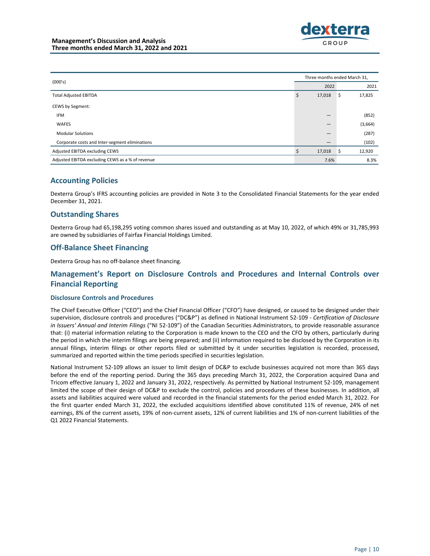| (000's)                                          |    | Three months ended March 31, |    |         |  |  |
|--------------------------------------------------|----|------------------------------|----|---------|--|--|
|                                                  |    | 2022                         |    | 2021    |  |  |
| <b>Total Adjusted EBITDA</b>                     | -S | 17,018                       | \$ | 17,825  |  |  |
| CEWS by Segment:                                 |    |                              |    |         |  |  |
| <b>IFM</b>                                       |    |                              |    | (852)   |  |  |
| <b>WAFES</b>                                     |    |                              |    | (3,664) |  |  |
| <b>Modular Solutions</b>                         |    | –                            |    | (287)   |  |  |
| Corporate costs and Inter-segment eliminations   |    |                              |    | (102)   |  |  |
| Adjusted EBITDA excluding CEWS                   |    | 17,018                       | \$ | 12,920  |  |  |
| Adjusted EBITDA excluding CEWS as a % of revenue |    | 7.6%                         |    | 8.3%    |  |  |

# **Accounting Policies**

Dexterra Group's IFRS accounting policies are provided in Note 3 to the Consolidated Financial Statements for the year ended December 31, 2021.

# **Outstanding Shares**

Dexterra Group had 65,198,295 voting common shares issued and outstanding as at May 10, 2022, of which 49% or 31,785,993 are owned by subsidiaries of Fairfax Financial Holdings Limited.

# **Off-Balance Sheet Financing**

Dexterra Group has no off-balance sheet financing.

# Management's Report on Disclosure Controls and Procedures and Internal Controls over **Financial Reporting**

### **Disclosure Controls and Procedures**

The Chief Executive Officer ("CEO") and the Chief Financial Officer ("CFO") have designed, or caused to be designed under their supervision, disclosure controls and procedures ("DC&P") as defined in National Instrument 52-109 - Certification of Disclosure in Issuers' Annual and Interim Filings ("NI 52-109") of the Canadian Securities Administrators, to provide reasonable assurance that: (i) material information relating to the Corporation is made known to the CEO and the CFO by others, particularly during the period in which the interim filings are being prepared; and (ii) information required to be disclosed by the Corporation in its annual filings, interim filings or other reports filed or submitted by it under securities legislation is recorded, processed, summarized and reported within the time periods specified in securities legislation.

National Instrument 52-109 allows an issuer to limit design of DC&P to exclude businesses acquired not more than 365 days before the end of the reporting period. During the 365 days preceding March 31, 2022, the Corporation acquired Dana and Tricom effective January 1, 2022 and January 31, 2022, respectively. As permitted by National Instrument 52-109, management limited the scope of their design of DC&P to exclude the control, policies and procedures of these businesses. In addition, all assets and liabilities acquired were valued and recorded in the financial statements for the period ended March 31, 2022. For the first quarter ended March 31, 2022, the excluded acquisitions identified above constituted 11% of revenue, 24% of net earnings, 8% of the current assets, 19% of non-current assets, 12% of current liabilities and 1% of non-current liabilities of the Q1 2022 Financial Statements.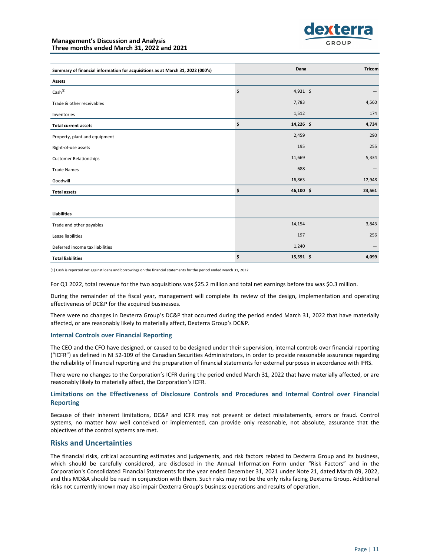

| Summary of financial information for acquisitions as at March 31, 2022 (000's) | Dana            | <b>Tricom</b> |
|--------------------------------------------------------------------------------|-----------------|---------------|
| Assets                                                                         |                 |               |
| $\textsf{Cash}^{(1)}$                                                          | \$<br>4,931 \$  |               |
| Trade & other receivables                                                      | 7,783           | 4,560         |
| Inventories                                                                    | 1,512           | 174           |
| <b>Total current assets</b>                                                    | \$<br>14,226 \$ | 4,734         |
| Property, plant and equipment                                                  | 2,459           | 290           |
| Right-of-use assets                                                            | 195             | 255           |
| <b>Customer Relationships</b>                                                  | 11,669          | 5,334         |
| <b>Trade Names</b>                                                             | 688             |               |
| Goodwill                                                                       | 16,863          | 12,948        |
| <b>Total assets</b>                                                            | \$<br>46,100 \$ | 23,561        |
|                                                                                |                 |               |
| <b>Liabilities</b>                                                             |                 |               |
| Trade and other payables                                                       | 14,154          | 3,843         |
| Lease liabilities                                                              | 197             | 256           |
| Deferred income tax liabilities                                                | 1,240           |               |
| <b>Total liabilities</b>                                                       | \$<br>15,591 \$ | 4,099         |

(1) Cash is reported net against loans and borrowings on the financial statements for the period ended March 31, 2022.

For Q1 2022, total revenue for the two acquisitions was \$25.2 million and total net earnings before tax was \$0.3 million.

During the remainder of the fiscal year, management will complete its review of the design, implementation and operating effectiveness of DC&P for the acquired businesses.

There were no changes in Dexterra Group's DC&P that occurred during the period ended March 31, 2022 that have materially affected, or are reasonably likely to materially affect, Dexterra Group's DC&P.

#### **Internal Controls over Financial Reporting**

The CEO and the CFO have designed, or caused to be designed under their supervision, internal controls over financial reporting ("ICFR") as defined in NI 52-109 of the Canadian Securities Administrators, in order to provide reasonable assurance regarding the reliability of financial reporting and the preparation of financial statements for external purposes in accordance with IFRS.

There were no changes to the Corporation's ICFR during the period ended March 31, 2022 that have materially affected, or are reasonably likely to materially affect, the Corporation's ICFR.

### Limitations on the Effectiveness of Disclosure Controls and Procedures and Internal Control over Financial **Reporting**

Because of their inherent limitations, DC&P and ICFR may not prevent or detect misstatements, errors or fraud. Control systems, no matter how well conceived or implemented, can provide only reasonable, not absolute, assurance that the objectives of the control systems are met.

### **Risks and Uncertainties**

The financial risks, critical accounting estimates and judgements, and risk factors related to Dexterra Group and its business, which should be carefully considered, are disclosed in the Annual Information Form under "Risk Factors" and in the Corporation's Consolidated Financial Statements for the year ended December 31, 2021 under Note 21, dated March 09, 2022, and this MD&A should be read in conjunction with them. Such risks may not be the only risks facing Dexterra Group. Additional risks not currently known may also impair Dexterra Group's business operations and results of operation.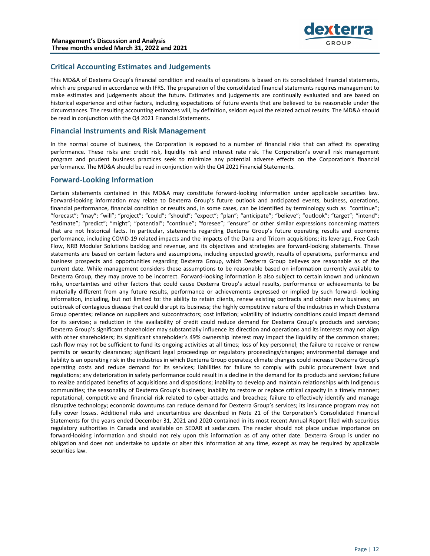

# **Critical Accounting Estimates and Judgements**

This MD&A of Dexterra Group's financial condition and results of operations is based on its consolidated financial statements, which are prepared in accordance with IFRS. The preparation of the consolidated financial statements requires management to make estimates and judgements about the future. Estimates and judgements are continually evaluated and are based on historical experience and other factors, including expectations of future events that are believed to be reasonable under the circumstances. The resulting accounting estimates will, by definition, seldom equal the related actual results. The MD&A should be read in conjunction with the Q4 2021 Financial Statements.

## **Financial Instruments and Risk Management**

In the normal course of business, the Corporation is exposed to a number of financial risks that can affect its operating performance. These risks are: credit risk, liquidity risk and interest rate risk. The Corporation's overall risk management program and prudent business practices seek to minimize any potential adverse effects on the Corporation's financial performance. The MD&A should be read in conjunction with the Q4 2021 Financial Statements.

# **Forward-Looking Information**

Certain statements contained in this MD&A may constitute forward-looking information under applicable securities law. Forward-looking information may relate to Dexterra Group's future outlook and anticipated events, business, operations, financial performance, financial condition or results and, in some cases, can be identified by terminology such as "continue"; "forecast"; "may"; "will"; "project"; "could"; "should"; "expect"; "plan"; "anticipate"; "believe"; "outlook"; "target"; "intend"; "estimate"; "predict"; "might"; "potential"; "continue"; "foresee"; "ensure" or other similar expressions concerning matters that are not historical facts. In particular, statements regarding Dexterra Group's future operating results and economic performance, including COVID-19 related impacts and the impacts of the Dana and Tricom acquisitions; its leverage, Free Cash Flow, NRB Modular Solutions backlog and revenue, and its objectives and strategies are forward-looking statements. These statements are based on certain factors and assumptions, including expected growth, results of operations, performance and business prospects and opportunities regarding Dexterra Group, which Dexterra Group believes are reasonable as of the current date. While management considers these assumptions to be reasonable based on information currently available to Dexterra Group, they may prove to be incorrect. Forward-looking information is also subject to certain known and unknown risks, uncertainties and other factors that could cause Dexterra Group's actual results, performance or achievements to be materially different from any future results, performance or achievements expressed or implied by such forward- looking information, including, but not limited to: the ability to retain clients, renew existing contracts and obtain new business; an outbreak of contagious disease that could disrupt its business; the highly competitive nature of the industries in which Dexterra Group operates; reliance on suppliers and subcontractors; cost inflation; volatility of industry conditions could impact demand for its services; a reduction in the availability of credit could reduce demand for Dexterra Group's products and services; Dexterra Group's significant shareholder may substantially influence its direction and operations and its interests may not align with other shareholders; its significant shareholder's 49% ownership interest may impact the liquidity of the common shares; cash flow may not be sufficient to fund its ongoing activities at all times; loss of key personnel; the failure to receive or renew permits or security clearances; significant legal proceedings or regulatory proceedings/changes; environmental damage and liability is an operating risk in the industries in which Dexterra Group operates; climate changes could increase Dexterra Group's operating costs and reduce demand for its services; liabilities for failure to comply with public procurement laws and regulations; any deterioration in safety performance could result in a decline in the demand for its products and services; failure to realize anticipated benefits of acquisitions and dispositions; inability to develop and maintain relationships with Indigenous communities; the seasonality of Dexterra Group's business; inability to restore or replace critical capacity in a timely manner; reputational, competitive and financial risk related to cyber-attacks and breaches; failure to effectively identify and manage disruptive technology; economic downturns can reduce demand for Dexterra Group's services; its insurance program may not fully cover losses. Additional risks and uncertainties are described in Note 21 of the Corporation's Consolidated Financial Statements for the years ended December 31, 2021 and 2020 contained in its most recent Annual Report filed with securities regulatory authorities in Canada and available on SEDAR at sedar.com. The reader should not place undue importance on forward-looking information and should not rely upon this information as of any other date. Dexterra Group is under no obligation and does not undertake to update or alter this information at any time, except as may be required by applicable securities law.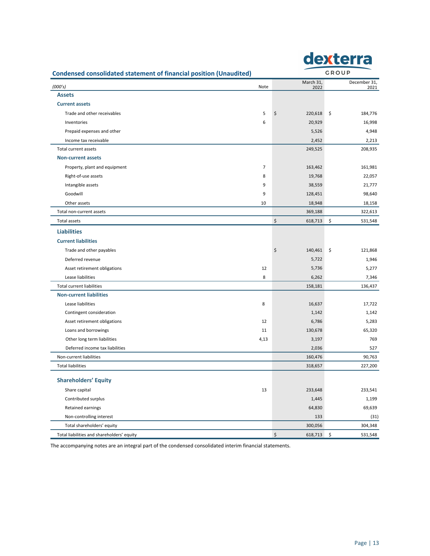|                                                                           |      |                   |              | dexterra             |
|---------------------------------------------------------------------------|------|-------------------|--------------|----------------------|
| <b>Condensed consolidated statement of financial position (Unaudited)</b> |      |                   | <b>GROUP</b> |                      |
| (000's)                                                                   | Note | March 31,<br>2022 |              | December 31,<br>2021 |
| <b>Assets</b>                                                             |      |                   |              |                      |
| <b>Current assets</b>                                                     |      |                   |              |                      |
| Trade and other receivables                                               | 5    | \$<br>220,618     | \$           | 184,776              |
| Inventories                                                               | 6    | 20,929            |              | 16,998               |
| Prepaid expenses and other                                                |      | 5,526             |              | 4,948                |
| Income tax receivable                                                     |      | 2,452             |              | 2,213                |
| <b>Total current assets</b>                                               |      | 249,525           |              | 208,935              |
| <b>Non-current assets</b>                                                 |      |                   |              |                      |
| Property, plant and equipment                                             | 7    | 163,462           |              | 161,981              |
| Right-of-use assets                                                       | 8    | 19,768            |              | 22,057               |
| Intangible assets                                                         | 9    | 38,559            |              | 21,777               |
| Goodwill                                                                  | 9    | 128,451           |              | 98,640               |
| Other assets                                                              | 10   | 18,948            |              | 18,158               |
| Total non-current assets                                                  |      | 369,188           |              | 322,613              |
| <b>Total assets</b>                                                       |      | \$<br>618,713     | \$           | 531,548              |
| <b>Liabilities</b>                                                        |      |                   |              |                      |
| <b>Current liabilities</b>                                                |      |                   |              |                      |
| Trade and other payables                                                  |      | \$<br>140,461     | \$           | 121,868              |
| Deferred revenue                                                          |      | 5,722             |              | 1,946                |
| Asset retirement obligations                                              | 12   | 5,736             |              | 5,277                |
| Lease liabilities                                                         | 8    | 6,262             |              | 7,346                |
| <b>Total current liabilities</b>                                          |      | 158,181           |              | 136,437              |
| <b>Non-current liabilities</b>                                            |      |                   |              |                      |
| Lease liabilities                                                         | 8    | 16,637            |              | 17,722               |
| Contingent consideration                                                  |      | 1,142             |              | 1,142                |
| Asset retirement obligations                                              | 12   | 6,786             |              | 5,283                |
| Loans and borrowings                                                      | 11   | 130,678           |              | 65,320               |
| Other long term liabilities                                               | 4,13 | 3,197             |              | 769                  |
| Deferred income tax liabilities                                           |      | 2,036             |              | 527                  |
| Non-current liabilities                                                   |      | 160,476           |              | 90,763               |
| <b>Total liabilities</b>                                                  |      | 318,657           |              | 227,200              |
|                                                                           |      |                   |              |                      |
| <b>Shareholders' Equity</b>                                               |      |                   |              |                      |
| Share capital                                                             | 13   | 233,648           |              | 233,541              |
| Contributed surplus                                                       |      | 1,445             |              | 1,199                |
| Retained earnings                                                         |      | 64,830            |              | 69,639               |
| Non-controlling interest                                                  |      | 133               |              | (31)                 |
| Total shareholders' equity                                                |      | 300,056           |              | 304,348              |
| Total liabilities and shareholders' equity                                |      | \$<br>618,713     | \$           | 531,548              |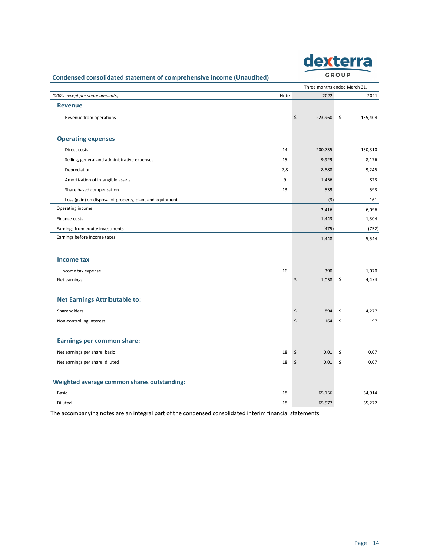| exterr |
|--------|
| GROUP  |

# **Condensed consolidated statement of comprehensive income (Unaudited)**

|                                                          |      |                       | Three months ended March 31, |
|----------------------------------------------------------|------|-----------------------|------------------------------|
| (000's except per share amounts)                         | Note | 2022                  | 2021                         |
| <b>Revenue</b>                                           |      |                       |                              |
| Revenue from operations                                  |      | \$<br>223,960         | \$<br>155,404                |
|                                                          |      |                       |                              |
| <b>Operating expenses</b>                                |      |                       |                              |
| Direct costs                                             | 14   | 200,735               | 130,310                      |
| Selling, general and administrative expenses             | 15   | 9,929                 | 8,176                        |
| Depreciation                                             | 7,8  | 8,888                 | 9,245                        |
| Amortization of intangible assets                        | 9    | 1,456                 | 823                          |
| Share based compensation                                 | 13   | 539                   | 593                          |
| Loss (gain) on disposal of property, plant and equipment |      | (3)                   | 161                          |
| Operating income                                         |      | 2,416                 | 6,096                        |
| Finance costs                                            |      | 1,443                 | 1,304                        |
| Earnings from equity investments                         |      | (475)                 | (752)                        |
| Earnings before income taxes                             |      | 1,448                 | 5,544                        |
|                                                          |      |                       |                              |
| <b>Income tax</b>                                        |      |                       |                              |
| Income tax expense                                       | 16   | 390                   | 1,070                        |
| Net earnings                                             |      | \$<br>1,058           | \$<br>4,474                  |
|                                                          |      |                       |                              |
| <b>Net Earnings Attributable to:</b>                     |      |                       |                              |
| Shareholders                                             |      | \$<br>894             | \$<br>4,277                  |
| Non-controlling interest                                 |      | $\zeta$<br>164        | \$<br>197                    |
|                                                          |      |                       |                              |
| <b>Earnings per common share:</b>                        |      |                       |                              |
| Net earnings per share, basic                            | 18   | $\ddot{\phi}$<br>0.01 | \$<br>0.07                   |
| Net earnings per share, diluted                          | 18   | \$<br>0.01            | $\ddot{\mathsf{s}}$<br>0.07  |
|                                                          |      |                       |                              |
| Weighted average common shares outstanding:              |      |                       |                              |
| Basic                                                    | 18   | 65,156                | 64,914                       |
| Diluted                                                  | 18   | 65,577                | 65,272                       |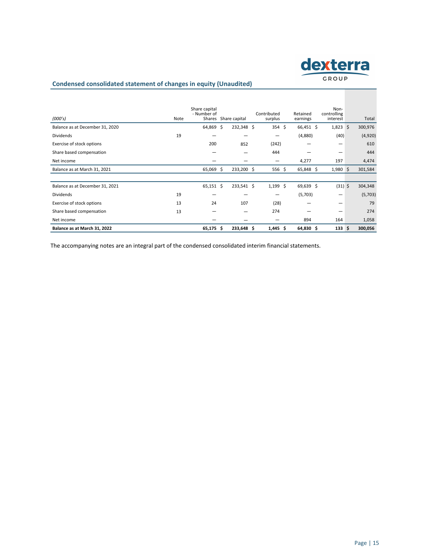

## **Condensed consolidated statement of changes in equity (Unaudited)**

| (000's)                         | Note | Share capital<br>- Number of<br>Shares |    | Share capital | Contributed<br>surplus | Retained<br>earnings | Non-<br>controlling<br>interest | Total   |
|---------------------------------|------|----------------------------------------|----|---------------|------------------------|----------------------|---------------------------------|---------|
| Balance as at December 31, 2020 |      | 64,869                                 | Ŝ  | 232,348 \$    | $354 \text{ }$         | 66,451 \$            | $1,823$ \$                      | 300,976 |
| <b>Dividends</b>                | 19   |                                        |    |               | -                      | (4,880)              | (40)                            | (4,920) |
| Exercise of stock options       |      | 200                                    |    | 852           | (242)                  |                      | -                               | 610     |
| Share based compensation        |      | –                                      |    |               | 444                    | -                    | -                               | 444     |
| Net income                      |      |                                        |    |               | -                      | 4,277                | 197                             | 4,474   |
| Balance as at March 31, 2021    |      | 65,069                                 | \$ | 233,200 \$    | 556 \$                 | 65,848 \$            | $1,980$ \$                      | 301,584 |
|                                 |      |                                        |    |               |                        |                      |                                 |         |
| Balance as at December 31, 2021 |      | $65,151$ \$                            |    | 233,541 \$    | $1,199$ \$             | 69,639 \$            | $(31)$ \$                       | 304,348 |
| <b>Dividends</b>                | 19   |                                        |    |               | –                      | (5,703)              | –                               | (5,703) |
| Exercise of stock options       | 13   | 24                                     |    | 107           | (28)                   |                      | -                               | 79      |
| Share based compensation        | 13   |                                        |    |               | 274                    |                      | -                               | 274     |
| Net income                      |      |                                        |    |               |                        | 894                  | 164                             | 1,058   |
| Balance as at March 31, 2022    |      | $65,175$ \$                            |    | 233,648 \$    | $1,445$ \$             | $64,830$ \$          | 133 <sup>5</sup>                | 300,056 |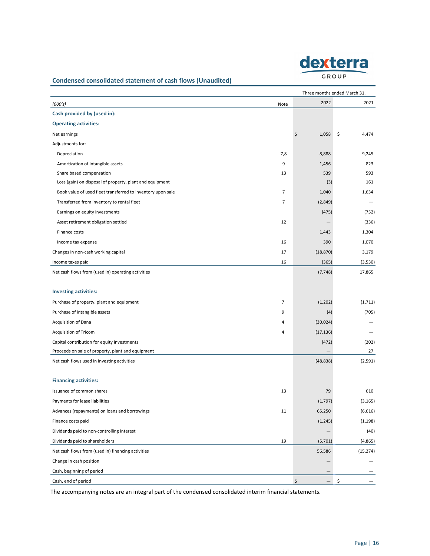

# Condensed consolidated statement of cash flows (Unaudited)

| Three months ended March 31,                                |                |                         |             |  |  |  |
|-------------------------------------------------------------|----------------|-------------------------|-------------|--|--|--|
| (000's)                                                     | Note           | 2022                    | 2021        |  |  |  |
| Cash provided by (used in):                                 |                |                         |             |  |  |  |
| <b>Operating activities:</b>                                |                |                         |             |  |  |  |
| Net earnings                                                |                | \$<br>1,058             | \$<br>4,474 |  |  |  |
| Adjustments for:                                            |                |                         |             |  |  |  |
| Depreciation                                                | 7,8            | 8,888                   | 9,245       |  |  |  |
| Amortization of intangible assets                           | 9              | 1,456                   | 823         |  |  |  |
| Share based compensation                                    | 13             | 539                     | 593         |  |  |  |
| Loss (gain) on disposal of property, plant and equipment    |                | (3)                     | 161         |  |  |  |
| Book value of used fleet transferred to inventory upon sale | $\overline{7}$ | 1,040                   | 1,634       |  |  |  |
| Transferred from inventory to rental fleet                  | $\overline{7}$ | (2,849)                 |             |  |  |  |
| Earnings on equity investments                              |                | (475)                   | (752)       |  |  |  |
| Asset retirement obligation settled                         | 12             |                         | (336)       |  |  |  |
| Finance costs                                               |                | 1,443                   | 1,304       |  |  |  |
| Income tax expense                                          | 16             | 390                     | 1,070       |  |  |  |
| Changes in non-cash working capital                         | 17             | (18, 870)               | 3,179       |  |  |  |
| Income taxes paid                                           | 16             | (365)                   | (3,530)     |  |  |  |
| Net cash flows from (used in) operating activities          |                | (7, 748)                | 17,865      |  |  |  |
|                                                             |                |                         |             |  |  |  |
| <b>Investing activities:</b>                                |                |                         |             |  |  |  |
| Purchase of property, plant and equipment                   | 7              | (1,202)                 | (1, 711)    |  |  |  |
| Purchase of intangible assets                               | 9              | (4)                     | (705)       |  |  |  |
| Acquisition of Dana                                         | 4              | (30,024)                |             |  |  |  |
| <b>Acquisition of Tricom</b>                                | 4              | (17, 136)               |             |  |  |  |
| Capital contribution for equity investments                 |                | (472)                   | (202)       |  |  |  |
| Proceeds on sale of property, plant and equipment           |                |                         | 27          |  |  |  |
| Net cash flows used in investing activities                 |                | (48, 838)               | (2, 591)    |  |  |  |
|                                                             |                |                         |             |  |  |  |
| <b>Financing activities:</b>                                |                |                         |             |  |  |  |
| Issuance of common shares                                   | 13             | 79                      | 610         |  |  |  |
| Payments for lease liabilities                              |                | (1,797)                 | (3, 165)    |  |  |  |
| Advances (repayments) on loans and borrowings               | 11             | 65,250                  | (6,616)     |  |  |  |
| Finance costs paid                                          |                | (1, 245)                | (1, 198)    |  |  |  |
| Dividends paid to non-controlling interest                  |                |                         | (40)        |  |  |  |
| Dividends paid to shareholders                              | 19             | (5,701)                 | (4,865)     |  |  |  |
| Net cash flows from (used in) financing activities          |                | 56,586                  | (15, 274)   |  |  |  |
| Change in cash position                                     |                |                         |             |  |  |  |
| Cash, beginning of period                                   |                |                         |             |  |  |  |
| Cash, end of period                                         |                | \$<br>$\qquad \qquad -$ | \$          |  |  |  |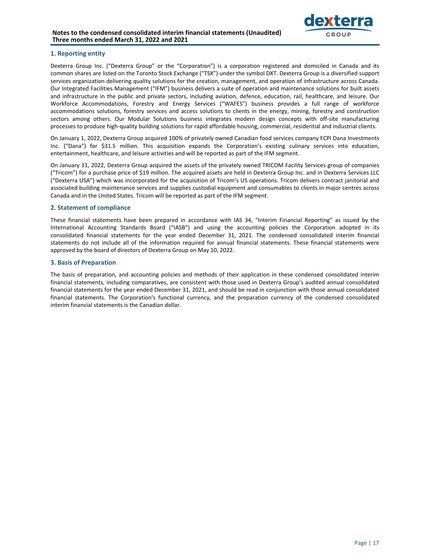

### **1. Reporting entity**

Dexterra Group Inc. ("Dexterra Group" or the "Corporation") is a corporation registered and domiciled in Canada and its common shares are listed on the Toronto Stock Exchange ("TSX") under the symbol DXT. Dexterra Group is a diversified support services organization delivering quality solutions for the creation, management, and operation of infrastructure across Canada. Our Integrated Facilities Management ("IFM") business delivers a suite of operation and maintenance solutions for built assets and infrastructure in the public and private sectors, including aviation, defence, education, rail, healthcare, and leisure. Our Workforce Accommodations, Forestry and Energy Services ("WAFES") business provides a full range of workforce accommodations solutions, forestry services and access solutions to clients in the energy, mining, forestry and construction sectors among others. Our Modular Solutions business integrates modern design concepts with off-site manufacturing processes to produce high-quality building solutions for rapid affordable housing, commercial, residential and industrial clients.

On January 1, 2022, Dexterra Group acquired 100% of privately owned Canadian food services company FCPI Dana Investments Inc. ("Dana") for \$31.5 million. This acquisition expands the Corporation's existing culinary services into education, entertainment, healthcare, and leisure activities and will be reported as part of the IFM segment.

On January 31, 2022, Dexterra Group acquired the assets of the privately owned TRICOM Facility Services group of companies ("Tricom") for a purchase price of \$19 million. The acquired assets are held in Dexterra Group Inc. and in Dexterra Services LLC ("Dexterra USA") which was incorporated for the acquisition of Tricom's US operations. Tricom delivers contract janitorial and associated building maintenance services and supplies custodial equipment and consumables to clients in major centres across Canada and in the United States. Tricom will be reported as part of the IFM segment.

### **2. Statement of compliance**

These financial statements have been prepared in accordance with IAS 34, "Interim Financial Reporting" as issued by the International Accounting Standards Board ("IASB") and using the accounting policies the Corporation adopted in its consolidated financial statements for the year ended December 31, 2021. The condensed consolidated interim financial statements do not include all of the information required for annual financial statements. These financial statements were approved by the board of directors of Dexterra Group on May 10, 2022.

### **3. Basis of Preparation**

The basis of preparation, and accounting policies and methods of their application in these condensed consolidated interim financial statements, including comparatives, are consistent with those used in Dexterra Group's audited annual consolidated financial statements for the year ended December 31, 2021, and should be read in conjunction with those annual consolidated financial statements. The Corporation's functional currency, and the preparation currency of the condensed consolidated interim financial statements is the Canadian dollar.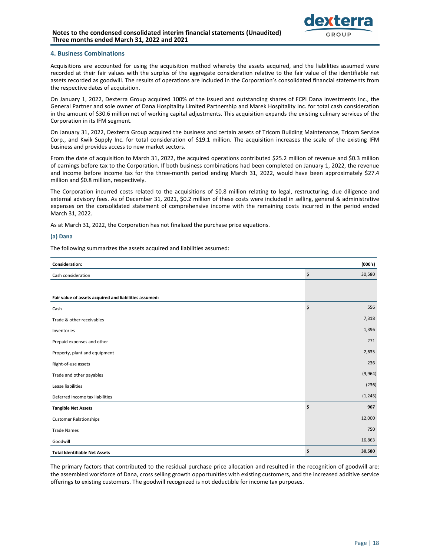

### **4. Business Combinations**

Acquisitions are accounted for using the acquisition method whereby the assets acquired, and the liabilities assumed were recorded at their fair values with the surplus of the aggregate consideration relative to the fair value of the identifiable net assets recorded as goodwill. The results of operations are included in the Corporation's consolidated financial statements from the respective dates of acquisition.

On January 1, 2022, Dexterra Group acquired 100% of the issued and outstanding shares of FCPI Dana Investments Inc., the General Partner and sole owner of Dana Hospitality Limited Partnership and Marek Hospitality Inc. for total cash consideration in the amount of \$30.6 million net of working capital adjustments. This acquisition expands the existing culinary services of the Corporation in its IFM segment.

On January 31, 2022, Dexterra Group acquired the business and certain assets of Tricom Building Maintenance, Tricom Service Corp., and Kwik Supply Inc. for total consideration of \$19.1 million. The acquisition increases the scale of the existing IFM business and provides access to new market sectors.

From the date of acquisition to March 31, 2022, the acquired operations contributed \$25.2 million of revenue and \$0.3 million of earnings before tax to the Corporation. If both business combinations had been completed on January 1, 2022, the revenue and income before income tax for the three-month period ending March 31, 2022, would have been approximately \$27.4 million and \$0.8 million, respectively.

The Corporation incurred costs related to the acquisitions of \$0.8 million relating to legal, restructuring, due diligence and external advisory fees. As of December 31, 2021, \$0.2 million of these costs were included in selling, general & administrative expenses on the consolidated statement of comprehensive income with the remaining costs incurred in the period ended March 31, 2022.

As at March 31, 2022, the Corporation has not finalized the purchase price equations.

#### **(a) Dana**

The following summarizes the assets acquired and liabilities assumed:

| <b>Consideration:</b>                                  | (000's)        |
|--------------------------------------------------------|----------------|
| Cash consideration                                     | \$<br>30,580   |
|                                                        |                |
| Fair value of assets acquired and liabilities assumed: |                |
| Cash                                                   | $\zeta$<br>556 |
| Trade & other receivables                              | 7,318          |
| Inventories                                            | 1,396          |
| Prepaid expenses and other                             | 271            |
| Property, plant and equipment                          | 2,635          |
| Right-of-use assets                                    | 236            |
| Trade and other payables                               | (9,964)        |
| Lease liabilities                                      | (236)          |
| Deferred income tax liabilities                        | (1, 245)       |
| <b>Tangible Net Assets</b>                             | \$<br>967      |
| <b>Customer Relationships</b>                          | 12,000         |
| <b>Trade Names</b>                                     | 750            |
| Goodwill                                               | 16,863         |
| <b>Total Identifiable Net Assets</b>                   | \$<br>30,580   |

The primary factors that contributed to the residual purchase price allocation and resulted in the recognition of goodwill are: the assembled workforce of Dana, cross selling growth opportunities with existing customers, and the increased additive service offerings to existing customers. The goodwill recognized is not deductible for income tax purposes.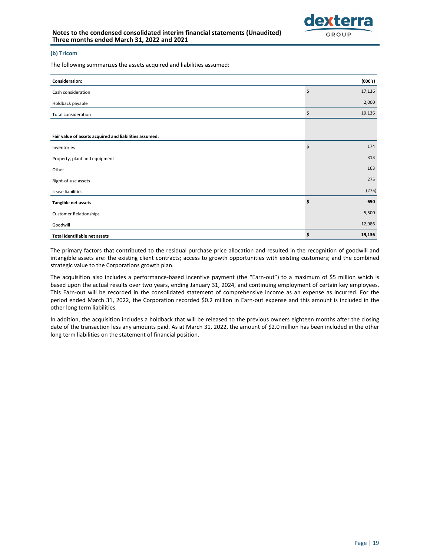#### **(b) Tricom**

The following summarizes the assets acquired and liabilities assumed:

| Consideration:                                         | (000's)      |
|--------------------------------------------------------|--------------|
| Cash consideration                                     | \$<br>17,136 |
| Holdback payable                                       | 2,000        |
| Total consideration                                    | \$<br>19,136 |
|                                                        |              |
| Fair value of assets acquired and liabilities assumed: |              |
| Inventories                                            | \$<br>174    |
| Property, plant and equipment                          | 313          |
| Other                                                  | 163          |
| Right-of-use assets                                    | 275          |
| Lease liabilities                                      | (275)        |
| Tangible net assets                                    | \$<br>650    |
| <b>Customer Relationships</b>                          | 5,500        |
| Goodwill                                               | 12,986       |
| Total identifiable net assets                          | \$<br>19,136 |

The primary factors that contributed to the residual purchase price allocation and resulted in the recognition of goodwill and intangible assets are: the existing client contracts; access to growth opportunities with existing customers; and the combined strategic value to the Corporations growth plan.

The acquisition also includes a performance-based incentive payment (the "Earn-out") to a maximum of \$5 million which is based upon the actual results over two years, ending January 31, 2024, and continuing employment of certain key employees. This Earn-out will be recorded in the consolidated statement of comprehensive income as an expense as incurred. For the period ended March 31, 2022, the Corporation recorded \$0.2 million in Earn-out expense and this amount is included in the other long term liabilities.

In addition, the acquisition includes a holdback that will be released to the previous owners eighteen months after the closing date of the transaction less any amounts paid. As at March 31, 2022, the amount of \$2.0 million has been included in the other long term liabilities on the statement of financial position.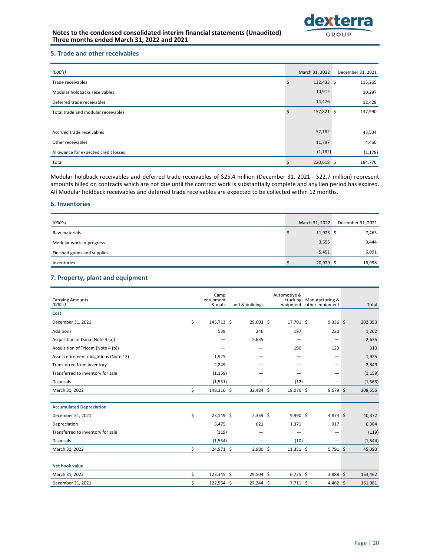

### **5. Trade and other receivables**

| (000's)                              | March 31, 2022   | December 31, 2021 |
|--------------------------------------|------------------|-------------------|
| Trade receivables                    | \$<br>132,433 \$ | 115,265           |
| Modular holdbacks receivables        | 10,912           | 10,297            |
| Deferred trade receivables           | 14,476           | 12,428            |
| Total trade and modular receivables  | \$<br>157,821 \$ | 137,990           |
|                                      |                  |                   |
| Accrued trade receivables            | 52,182           | 43,504            |
| Other receivables                    | 11,797           | 4,460             |
| Allowance for expected credit losses | (1, 182)         | (1, 178)          |
| Total                                | 220,618 \$       | 184,776           |

Modular holdback receivables and deferred trade receivables of \$25.4 million (December 31, 2021 - \$22.7 million) represent amounts billed on contracts which are not due until the contract work is substantially complete and any lien period has expired. All Modular holdback receivables and deferred trade receivables are expected to be collected within 12 months.

### **6. Inventories**

| (000's)                     | March 31, 2022 | December 31, 2021 |
|-----------------------------|----------------|-------------------|
| Raw materials               | $11,923$ \$    | 7,463             |
| Modular work-in-progress    | 3,555          | 3,444             |
| Finished goods and supplies | 5,451          | 6,091             |
| Inventories                 | 20,929 \$      | 16,998            |

## **7. Property, plant and equipment**

| <b>Carrying Amounts</b><br>(000's)     | Camp<br>equipment<br>& mats | Land & buildings | Automotive &<br>trucking<br>equipment other equipment | Manufacturing & | Total    |
|----------------------------------------|-----------------------------|------------------|-------------------------------------------------------|-----------------|----------|
| Cost                                   |                             |                  |                                                       |                 |          |
| December 31, 2021                      | \$<br>145,713 \$            | 29,603 \$        | 17,701 \$                                             | $9,336$ \$      | 202,353  |
| Additions                              | 539                         | 246              | 197                                                   | 220             | 1,202    |
| Acquisition of Dana (Note 4 (a))       |                             | 2,635            |                                                       | —               | 2,635    |
| Acquisition of Tricom (Note 4 (b))     |                             |                  | 190                                                   | 123             | 313      |
| Asset retirement obligations (Note 12) | 1,925                       |                  |                                                       | -               | 1,925    |
| Transferred from inventory             | 2,849                       |                  |                                                       | -               | 2,849    |
| Transferred to inventory for sale      | (1, 159)                    |                  |                                                       |                 | (1, 159) |
| <b>Disposals</b>                       | (1, 551)                    |                  | (12)                                                  |                 | (1, 563) |
| March 31, 2022                         | \$<br>148,316 \$            | 32,484 \$        | 18,076 \$                                             | $9,679$ \$      | 208,555  |
|                                        |                             |                  |                                                       |                 |          |
| <b>Accumulated Depreciation</b>        |                             |                  |                                                       |                 |          |
| December 31, 2021                      | \$<br>23,149 \$             | $2,359$ \$       | $9,990$ \$                                            | 4,874 \$        | 40,372   |
| Depreciation                           | 3,475                       | 621              | 1,371                                                 | 917             | 6,384    |
| Transferred to inventory for sale      | (119)                       |                  | -                                                     | -               | (119)    |
| <b>Disposals</b>                       | (1,534)                     |                  | (10)                                                  |                 | (1, 544) |
| March 31, 2022                         | \$<br>24,971 \$             | $2,980$ \$       | $11,351$ \$                                           | $5,791$ \$      | 45,093   |
|                                        |                             |                  |                                                       |                 |          |
| Net book value                         |                             |                  |                                                       |                 |          |
| March 31, 2022                         | \$<br>123,345 \$            | 29,504 \$        | $6,725$ \$                                            | 3,888 \$        | 163,462  |
| December 31, 2021                      | \$<br>122,564 \$            | 27,244 \$        | $7,711$ \$                                            | $4,462$ \$      | 161,981  |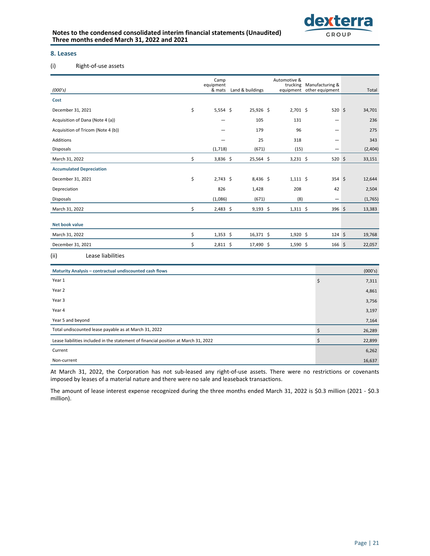

### **8. Leases**

### (i) Right-of-use assets

| (000's)                                                                             | Camp<br>equipment<br>& mats |            | Land & buildings | Automotive &<br>trucking | Manufacturing &<br>equipment other equipment | Total   |
|-------------------------------------------------------------------------------------|-----------------------------|------------|------------------|--------------------------|----------------------------------------------|---------|
| Cost                                                                                |                             |            |                  |                          |                                              |         |
| December 31, 2021                                                                   | \$                          | $5,554$ \$ | 25,926 \$        | $2,701$ \$               | 520 \$                                       | 34,701  |
| Acquisition of Dana (Note 4 (a))                                                    |                             |            | 105              | 131                      |                                              | 236     |
| Acquisition of Tricom (Note 4 (b))                                                  |                             |            | 179              | 96                       |                                              | 275     |
| Additions                                                                           |                             |            | 25               | 318                      |                                              | 343     |
| Disposals                                                                           | (1,718)                     |            | (671)            | (15)                     |                                              | (2,404) |
| March 31, 2022                                                                      | \$                          | 3,836 \$   | 25,564 \$        | $3,231$ \$               | $520$ \$                                     | 33,151  |
| <b>Accumulated Depreciation</b>                                                     |                             |            |                  |                          |                                              |         |
| December 31, 2021                                                                   | \$                          | $2,743$ \$ | $8,436$ \$       | $1,111$ \$               | $354 \;$ \$                                  | 12,644  |
| Depreciation                                                                        |                             | 826        | 1,428            | 208                      | 42                                           | 2,504   |
| <b>Disposals</b>                                                                    | (1,086)                     |            | (671)            | (8)                      |                                              | (1,765) |
| March 31, 2022                                                                      | \$                          | $2,483$ \$ | $9,193$ \$       | $1,311$ \$               | 396 \$                                       | 13,383  |
| <b>Net book value</b>                                                               |                             |            |                  |                          |                                              |         |
| March 31, 2022                                                                      | \$                          | $1,353$ \$ | $16,371 \;$ \$   | $1,920$ \$               | $124 \; \text{S}$                            | 19,768  |
| December 31, 2021                                                                   | \$                          | $2,811$ \$ | 17,490 \$        | $1,590$ \$               | $166 \;$ \$                                  | 22,057  |
| Lease liabilities<br>(ii)                                                           |                             |            |                  |                          |                                              |         |
| Maturity Analysis - contractual undiscounted cash flows                             |                             |            |                  |                          |                                              | (000's) |
| Year 1                                                                              |                             |            |                  |                          | $\zeta$                                      | 7,311   |
| Year 2                                                                              |                             |            |                  |                          |                                              | 4,861   |
| Year 3                                                                              |                             |            |                  |                          |                                              | 3,756   |
| Year 4                                                                              |                             |            |                  |                          |                                              | 3,197   |
| Year 5 and beyond                                                                   |                             |            |                  |                          |                                              | 7,164   |
| Total undiscounted lease payable as at March 31, 2022                               |                             |            |                  |                          | \$                                           | 26,289  |
| Lease liabilities included in the statement of financial position at March 31, 2022 |                             |            |                  |                          | \$                                           | 22,899  |
| Current                                                                             |                             |            |                  |                          |                                              | 6,262   |

At March 31, 2022, the Corporation has not sub-leased any right-of-use assets. There were no restrictions or covenants imposed by leases of a material nature and there were no sale and leaseback transactions.

Non-current  $16,637$ 

The amount of lease interest expense recognized during the three months ended March 31, 2022 is \$0.3 million (2021 - \$0.3 million).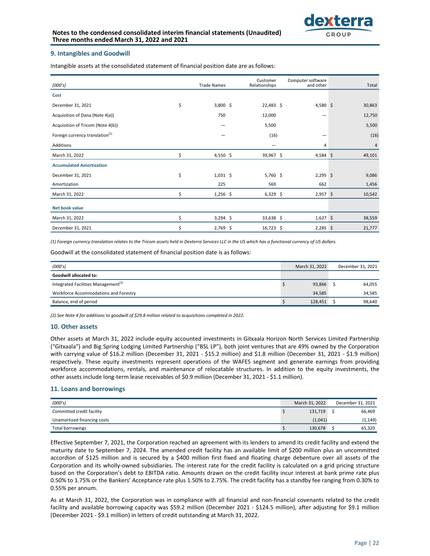

### **9. Intangibles and Goodwill**

Intangible assets at the consolidated statement of financial position date are as follows:

| (000's)                                     | <b>Trade Names</b> | Customer<br>Relationships | Computer software<br>and other | Total  |
|---------------------------------------------|--------------------|---------------------------|--------------------------------|--------|
| Cost                                        |                    |                           |                                |        |
| December 31, 2021                           | \$<br>3,800 \$     | $22,483$ \$               | 4,580 \$                       | 30,863 |
| Acquisition of Dana (Note 4(a))             | 750                | 12,000                    | -                              | 12,750 |
| Acquisition of Tricom (Note 4(b))           |                    | 5,500                     |                                | 5,500  |
| Foreign currency translation <sup>(1)</sup> |                    | (16)                      | -                              | (16)   |
| Additions                                   |                    | -                         | 4                              | 4      |
| March 31, 2022                              | \$<br>4,550 \$     | 39,967 \$                 | 4,584 \$                       | 49,101 |
| <b>Accumulated Amortization</b>             |                    |                           |                                |        |
| December 31, 2021                           | \$<br>$1,031$ \$   | 5,760 \$                  | $2,295$ \$                     | 9,086  |
| Amortization                                | 225                | 569                       | 662                            | 1,456  |
| March 31, 2022                              | \$<br>$1,256$ \$   | $6,329$ \$                | $2,957$ \$                     | 10,542 |
| Net book value                              |                    |                           |                                |        |
| March 31, 2022                              | \$<br>$3,294$ \$   | 33,638 \$                 | $1,627$ \$                     | 38,559 |
| December 31, 2021                           | \$<br>$2,769$ \$   | $16,723$ \$               | $2,285$ \$                     | 21,777 |

(1) Foreign currency translation relates to the Tricom assets held in Dexterra Services LLC in the US which has a functional currency of US dollars.

Goodwill at the consolidated statement of financial position date is as follows:

| (000's)                                         | March 31, 2022 | December 31, 2021 |
|-------------------------------------------------|----------------|-------------------|
| Goodwill allocated to:                          |                |                   |
| Integrated Facilities Management <sup>(2)</sup> | 93,866         | 64,055            |
| Workforce Accommodations and Forestry           | 34.585         | 34,585            |
| Balance, end of period                          | 128,451        | 98,640            |

(2) See Note 4 for additions to goodwill of \$29.8 million related to acquisitions completed in 2022.

#### 10. Other assets

Other assets at March 31, 2022 include equity accounted investments in Gitxaala Horizon North Services Limited Partnership ("Gitxaala") and Big Spring Lodging Limited Partnership ("BSL LP"), both joint ventures that are 49% owned by the Corporation with carrying value of \$16.2 million (December 31, 2021 - \$15.2 million) and \$1.8 million (December 31, 2021 - \$1.9 million) respectively. These equity investments represent operations of the WAFES segment and generate earnings from providing workforce accommodations, rentals, and maintenance of relocatable structures. In addition to the equity investments, the other assets include long-term lease receivables of \$0.9 million (December 31, 2021 - \$1.1 million).

### **11. Loans and borrowings**

| (000's)                     | March 31, 2022 | December 31, 2021 |
|-----------------------------|----------------|-------------------|
| Committed credit facility   | 131,719        | 66,469            |
| Unamortized financing costs | (1,041)        | (1, 149)          |
| Total borrowings            | 130,678        | 65,320            |

Effective September 7, 2021, the Corporation reached an agreement with its lenders to amend its credit facility and extend the maturity date to September 7, 2024. The amended credit facility has an available limit of \$200 million plus an uncommitted accordion of \$125 million and is secured by a \$400 million first fixed and floating charge debenture over all assets of the Corporation and its wholly-owned subsidiaries. The interest rate for the credit facility is calculated on a grid pricing structure based on the Corporation's debt to EBITDA ratio. Amounts drawn on the credit facility incur interest at bank prime rate plus 0.50% to 1.75% or the Bankers' Acceptance rate plus 1.50% to 2.75%. The credit facility has a standby fee ranging from 0.30% to 0.55% per annum.

As at March 31, 2022, the Corporation was in compliance with all financial and non-financial covenants related to the credit facility and available borrowing capacity was \$59.2 million (December 2021 - \$124.5 million), after adjusting for \$9.1 million (December 2021 - \$9.1 million) in letters of credit outstanding at March 31, 2022.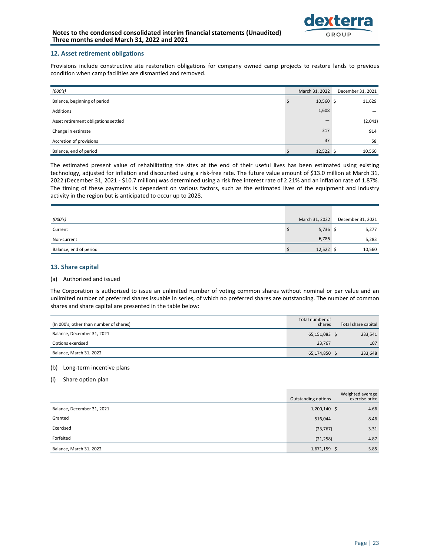

### **12. Asset retirement obligations**

Provisions include constructive site restoration obligations for company owned camp projects to restore lands to previous condition when camp facilities are dismantled and removed.

| (000's)                              | March 31, 2022 | December 31, 2021 |
|--------------------------------------|----------------|-------------------|
| Balance, beginning of period         | $10,560$ \$    | 11,629            |
| Additions                            | 1,608          |                   |
| Asset retirement obligations settled |                | (2,041)           |
| Change in estimate                   | 317            | 914               |
| Accretion of provisions              | 37             | 58                |
| Balance, end of period               | $12,522$ \$    | 10,560            |

The estimated present value of rehabilitating the sites at the end of their useful lives has been estimated using existing technology, adjusted for inflation and discounted using a risk-free rate. The future value amount of \$13.0 million at March 31, 2022 (December 31, 2021 - \$10.7 million) was determined using a risk free interest rate of 2.21% and an inflation rate of 1.87%. The timing of these payments is dependent on various factors, such as the estimated lives of the equipment and industry activity in the region but is anticipated to occur up to 2028.

| (000's)                | March 31, 2022 | December 31, 2021 |
|------------------------|----------------|-------------------|
| Current                | $5,736$ \$     | 5,277             |
| Non-current            | 6,786          | 5,283             |
| Balance, end of period | $12,522$ \$    | 10,560            |

### **13. Share capital**

#### (a) Authorized and issued

The Corporation is authorized to issue an unlimited number of voting common shares without nominal or par value and an unlimited number of preferred shares issuable in series, of which no preferred shares are outstanding. The number of common shares and share capital are presented in the table below:

| (In 000's, other than number of shares) | Total number of<br>shares | Total share capital |
|-----------------------------------------|---------------------------|---------------------|
| Balance, December 31, 2021              | 65,151,083 \$             | 233,541             |
| Options exercised                       | 23.767                    | 107                 |
| Balance, March 31, 2022                 | 65,174,850 \$             | 233,648             |

### (b) Long-term incentive plans

#### (i) Share option plan

|                            | Outstanding options | Weighted average<br>exercise price |
|----------------------------|---------------------|------------------------------------|
| Balance, December 31, 2021 | $1,200,140$ \$      | 4.66                               |
| Granted                    | 516,044             | 8.46                               |
| Exercised                  | (23, 767)           | 3.31                               |
| Forfeited                  | (21, 258)           | 4.87                               |
| Balance, March 31, 2022    | $1,671,159$ \$      | 5.85                               |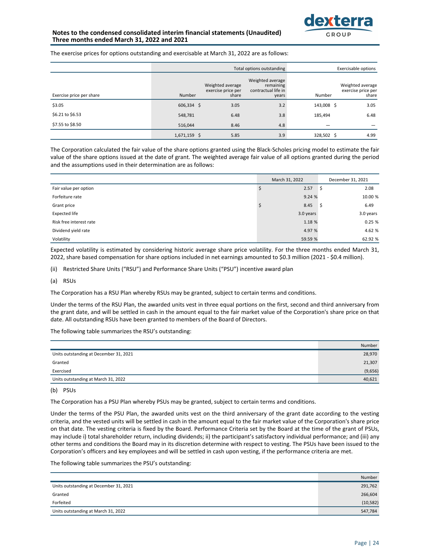

### **Notes to the condensed consolidated interim financial statements (Unaudited)** Three months ended March 31, 2022 and 2021

The exercise prices for options outstanding and exercisable at March 31, 2022 are as follows:

|                          |                |                                                 | Total options outstanding                                     |            | Exercisable options                             |
|--------------------------|----------------|-------------------------------------------------|---------------------------------------------------------------|------------|-------------------------------------------------|
| Exercise price per share | Number         | Weighted average<br>exercise price per<br>share | Weighted average<br>remaining<br>contractual life in<br>years | Number     | Weighted average<br>exercise price per<br>share |
| \$3.05                   | 606,334 \$     | 3.05                                            | 3.2                                                           | 143,008 \$ | 3.05                                            |
| \$6.21 to \$6.53         | 548,781        | 6.48                                            | 3.8                                                           | 185,494    | 6.48                                            |
| \$7.55 to \$8.50         | 516,044        | 8.46                                            | 4.8                                                           |            |                                                 |
|                          | $1,671,159$ \$ | 5.85                                            | 3.9                                                           | 328,502 \$ | 4.99                                            |

The Corporation calculated the fair value of the share options granted using the Black-Scholes pricing model to estimate the fair value of the share options issued at the date of grant. The weighted average fair value of all options granted during the period and the assumptions used in their determination are as follows:

|                         | March 31, 2022 | December 31, 2021 |
|-------------------------|----------------|-------------------|
| Fair value per option   | 2.57           | 2.08<br>-S        |
| Forfeiture rate         | 9.24%          | 10.00 %           |
| Grant price             | 8.45           | 6.49<br>-S        |
| <b>Expected life</b>    | 3.0 years      | 3.0 years         |
| Risk free interest rate | 1.18 %         | 0.25%             |
| Dividend yield rate     | 4.97 %         | 4.62 %            |
| Volatility              | 59.59 %        | 62.92 %           |

Expected volatility is estimated by considering historic average share price volatility. For the three months ended March 31, 2022, share based compensation for share options included in net earnings amounted to \$0.3 million (2021 - \$0.4 million).

(ii) Restricted Share Units ("RSU") and Performance Share Units ("PSU") incentive award plan

(a) RSUs

The Corporation has a RSU Plan whereby RSUs may be granted, subject to certain terms and conditions.

Under the terms of the RSU Plan, the awarded units vest in three equal portions on the first, second and third anniversary from the grant date, and will be settled in cash in the amount equal to the fair market value of the Corporation's share price on that date. All outstanding RSUs have been granted to members of the Board of Directors.

The following table summarizes the RSU's outstanding:

|                                        | Number  |
|----------------------------------------|---------|
| Units outstanding at December 31, 2021 | 28,970  |
| Granted                                | 21,307  |
| Exercised                              | (9,656) |
| Units outstanding at March 31, 2022    | 40,621  |
|                                        |         |

### (b) PSUs

The Corporation has a PSU Plan whereby PSUs may be granted, subject to certain terms and conditions.

Under the terms of the PSU Plan, the awarded units vest on the third anniversary of the grant date according to the vesting criteria, and the vested units will be settled in cash in the amount equal to the fair market value of the Corporation's share price on that date. The vesting criteria is fixed by the Board. Performance Criteria set by the Board at the time of the grant of PSUs, may include i) total shareholder return, including dividends; ii) the participant's satisfactory individual performance; and (iii) any other terms and conditions the Board may in its discretion determine with respect to vesting. The PSUs have been issued to the Corporation's officers and key employees and will be settled in cash upon vesting, if the performance criteria are met.

The following table summarizes the PSU's outstanding:

|                                        | Number    |
|----------------------------------------|-----------|
| Units outstanding at December 31, 2021 | 291,762   |
| Granted                                | 266,604   |
| Forfeited                              | (10, 582) |
| Units outstanding at March 31, 2022    | 547,784   |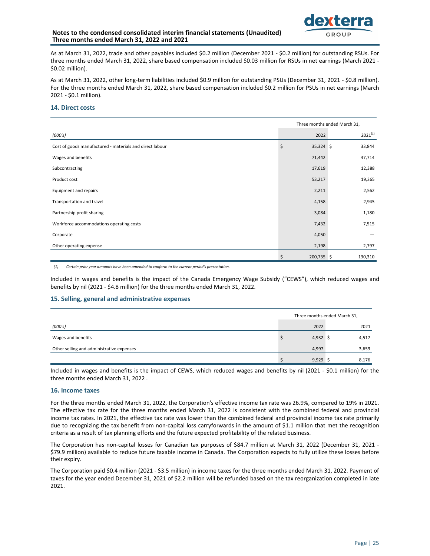### **Notes to the condensed consolidated interim financial statements (Unaudited)** Three months ended March 31, 2022 and 2021



As at March 31, 2022, trade and other payables included \$0.2 million (December 2021 - \$0.2 million) for outstanding RSUs. For three months ended March 31, 2022, share based compensation included \$0.03 million for RSUs in net earnings (March 2021 -\$0.02 million). 

As at March 31, 2022, other long-term liabilities included \$0.9 million for outstanding PSUs (December 31, 2021 - \$0.8 million). For the three months ended March 31, 2022, share based compensation included \$0.2 million for PSUs in net earnings (March 2021 - \$0.1 million).

### 14. Direct costs

|                                                          | Three months ended March 31, |              |  |
|----------------------------------------------------------|------------------------------|--------------|--|
| (000's)                                                  | 2022                         | $2021^{(1)}$ |  |
| Cost of goods manufactured - materials and direct labour | \$<br>$35,324$ \$            | 33,844       |  |
| Wages and benefits                                       | 71,442                       | 47,714       |  |
| Subcontracting                                           | 17,619                       | 12,388       |  |
| Product cost                                             | 53,217                       | 19,365       |  |
| Equipment and repairs                                    | 2,211                        | 2,562        |  |
| Transportation and travel                                | 4,158                        | 2,945        |  |
| Partnership profit sharing                               | 3,084                        | 1,180        |  |
| Workforce accommodations operating costs                 | 7,432                        | 7,515        |  |
| Corporate                                                | 4,050                        |              |  |
| Other operating expense                                  | 2,198                        | 2,797        |  |
|                                                          | 200,735 \$<br>Ś              | 130,310      |  |

(1) Certain prior year amounts have been amended to conform to the current period's presentation.

Included in wages and benefits is the impact of the Canada Emergency Wage Subsidy ("CEWS"), which reduced wages and benefits by nil (2021 - \$4.8 million) for the three months ended March 31, 2022.

### **15. Selling, general and administrative expenses**

|                                           | Three months ended March 31, |  |       |
|-------------------------------------------|------------------------------|--|-------|
| (000's)                                   | 2022                         |  | 2021  |
| Wages and benefits                        | $4,932$ \$                   |  | 4,517 |
| Other selling and administrative expenses | 4,997                        |  | 3,659 |
|                                           | 9,929                        |  | 8,176 |

Included in wages and benefits is the impact of CEWS, which reduced wages and benefits by nil (2021 - \$0.1 million) for the three months ended March 31, 2022.

### 16. Income taxes

For the three months ended March 31, 2022, the Corporation's effective income tax rate was 26.9%, compared to 19% in 2021. The effective tax rate for the three months ended March 31, 2022 is consistent with the combined federal and provincial income tax rates. In 2021, the effective tax rate was lower than the combined federal and provincial income tax rate primarily due to recognizing the tax benefit from non-capital loss carryforwards in the amount of \$1.1 million that met the recognition criteria as a result of tax planning efforts and the future expected profitability of the related business.

The Corporation has non-capital losses for Canadian tax purposes of \$84.7 million at March 31, 2022 (December 31, 2021 -\$79.9 million) available to reduce future taxable income in Canada. The Corporation expects to fully utilize these losses before their expiry.

The Corporation paid \$0.4 million (2021 - \$3.5 million) in income taxes for the three months ended March 31, 2022. Payment of taxes for the year ended December 31, 2021 of \$2.2 million will be refunded based on the tax reorganization completed in late 2021.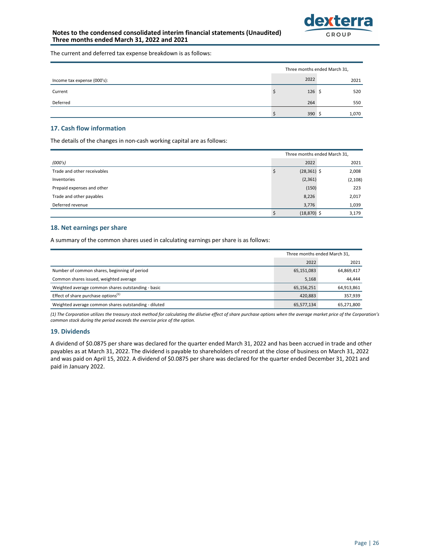

The current and deferred tax expense breakdown is as follows:

|                             | Three months ended March 31, |  |       |
|-----------------------------|------------------------------|--|-------|
| Income tax expense (000's): | 2022                         |  | 2021  |
| Current                     | $126\frac{1}{2}$             |  | 520   |
| Deferred                    | 264                          |  | 550   |
|                             | 390                          |  | 1,070 |

### **17. Cash flow information**

The details of the changes in non-cash working capital are as follows:

|                             | Three months ended March 31, |          |  |
|-----------------------------|------------------------------|----------|--|
| (000's)                     | 2022                         | 2021     |  |
| Trade and other receivables | $(28, 361)$ \$               | 2,008    |  |
| Inventories                 | (2, 361)                     | (2, 108) |  |
| Prepaid expenses and other  | (150)                        | 223      |  |
| Trade and other payables    | 8,226                        | 2,017    |  |
| Deferred revenue            | 3,776                        | 1,039    |  |
|                             | $(18, 870)$ \$               | 3,179    |  |

### 18. Net earnings per share

A summary of the common shares used in calculating earnings per share is as follows:

|                                                      | Three months ended March 31, |            |
|------------------------------------------------------|------------------------------|------------|
|                                                      | 2022                         | 2021       |
| Number of common shares, beginning of period         | 65,151,083                   | 64,869,417 |
| Common shares issued, weighted average               | 5,168                        | 44.444     |
| Weighted average common shares outstanding - basic   | 65,156,251                   | 64,913,861 |
| Effect of share purchase options $(1)$               | 420,883                      | 357,939    |
| Weighted average common shares outstanding - diluted | 65,577,134                   | 65,271,800 |

(1) The Corporation utilizes the treasury stock method for calculating the dilutive effect of share purchase options when the average market price of the Corporation's common stock during the period exceeds the exercise price of the option.

### **19. Dividends**

A dividend of \$0.0875 per share was declared for the quarter ended March 31, 2022 and has been accrued in trade and other payables as at March 31, 2022. The dividend is payable to shareholders of record at the close of business on March 31, 2022 and was paid on April 15, 2022. A dividend of \$0.0875 per share was declared for the quarter ended December 31, 2021 and paid in January 2022.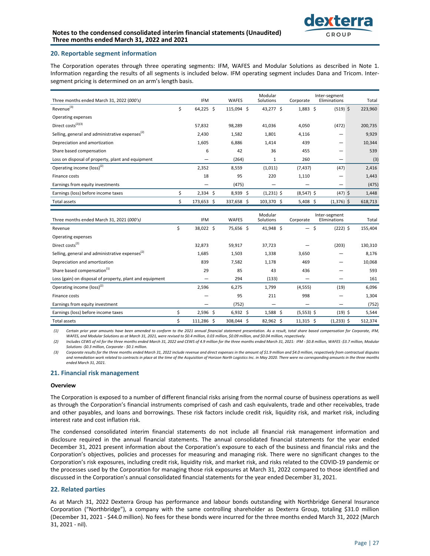

### **20. Reportable segment information**

The Corporation operates through three operating segments: IFM, WAFES and Modular Solutions as described in Note 1. Information regarding the results of all segments is included below. IFM operating segment includes Dana and Tricom. Intersegment pricing is determined on an arm's length basis.

| Three months ended March 31, 2022 (000's)                   |    | <b>IFM</b>      | <b>WAFES</b> | Modular<br>Solutions |              | Corporate    | Inter-segment<br>Eliminations | Total   |
|-------------------------------------------------------------|----|-----------------|--------------|----------------------|--------------|--------------|-------------------------------|---------|
| Revenue <sup>(3)</sup>                                      | Ś. | 64,225<br>Ŝ.    | 115,094 \$   | 43,277 \$            |              | $1,883$ \$   | $(519)$ \$                    | 223,960 |
| Operating expenses                                          |    |                 |              |                      |              |              |                               |         |
| Direct costs <sup>(2)(3)</sup>                              |    | 57,832          | 98,289       | 41,036               |              | 4,050        | (472)                         | 200,735 |
| Selling, general and administrative expenses <sup>(2)</sup> |    | 2,430           | 1,582        | 1,801                |              | 4,116        | -                             | 9,929   |
| Depreciation and amortization                               |    | 1,605           | 6,886        | 1,414                |              | 439          | —                             | 10,344  |
| Share based compensation                                    |    | 6               | 42           | 36                   |              | 455          | —                             | 539     |
| Loss on disposal of property, plant and equipment           |    |                 | (264)        |                      | $\mathbf{1}$ | 260          | -                             | (3)     |
| Operating income $(logs)^{(2)}$                             |    | 2,352           | 8,559        | (1,011)              |              | (7, 437)     | (47)                          | 2,416   |
| Finance costs                                               |    | 18              | 95           | 220                  |              | 1,110        | -                             | 1,443   |
| Earnings from equity investments                            |    |                 | (475)        |                      |              |              |                               | (475)   |
| Earnings (loss) before income taxes                         | Ś  | $2,334 \quad $$ | 8,939 \$     | $(1,231)$ \$         |              | $(8,547)$ \$ | $(47)$ \$                     | 1,448   |
| Total assets                                                | Ś  | 173,653<br>S    | 337,658 \$   | 103,370 \$           |              | 5,408 \$     | $(1,376)$ \$                  | 618,713 |

| Three months ended March 31, 2021 (000's)                   |    | <b>IFM</b> | <b>WAFES</b> | Modular<br>Solutions | Corporate                | Inter-segment<br>Eliminations | Total   |
|-------------------------------------------------------------|----|------------|--------------|----------------------|--------------------------|-------------------------------|---------|
| Revenue                                                     | \$ | 38,022 \$  | 75,656 \$    | 41,948 \$            | $\overline{\phantom{0}}$ | $(222)$ \$<br>\$              | 155,404 |
| Operating expenses                                          |    |            |              |                      |                          |                               |         |
| Direct costs <sup>(2)</sup>                                 |    | 32,873     | 59,917       | 37,723               |                          | (203)                         | 130,310 |
| Selling, general and administrative expenses <sup>(2)</sup> |    | 1,685      | 1,503        | 1,338                | 3,650                    |                               | 8,176   |
| Depreciation and amortization                               |    | 839        | 7,582        | 1,178                | 469                      |                               | 10,068  |
| Share based compensation <sup>(1)</sup>                     |    | 29         | 85           | 43                   | 436                      |                               | 593     |
| Loss (gain) on disposal of property, plant and equipment    |    |            | 294          | (133)                |                          |                               | 161     |
| Operating income $(logs)^{(2)}$                             |    | 2,596      | 6,275        | 1,799                | (4, 555)                 | (19)                          | 6,096   |
| Finance costs                                               |    |            | 95           | 211                  | 998                      |                               | 1,304   |
| Earnings from equity investment                             |    |            | (752)        |                      |                          |                               | (752)   |
| Earnings (loss) before income taxes                         | \$ | $2,596$ \$ | $6,932$ \$   | $1,588$ \$           | $(5,553)$ \$             | $(19)$ \$                     | 5,544   |
| Total assets                                                | Ś  | 111,286 \$ | 308,044 \$   | $82,962$ \$          | $11,315 \pm 5$           | $(1,233)$ \$                  | 512,374 |

(1) Certain prior year amounts have been amended to conform to the 2021 annual financial statement presentation. As a result, total share based compensation for Corporate, IFM, WAFES, and Modular Solutions as at March 31, 2021, were revised to \$0.4 million, 0.03 million, \$0.09 million, and \$0.04 million, respectively.

(2) Includes CEWS of nil for the three months ended March 31, 2022 and CEWS of 4.9 million for the three months ended March 31, 2021: IFM - \$0.8 million, WAFES -\$3.7 million, Modular Solutions -\$0.3 million, Corporate - \$0.1 million.

(3) Corporate results for the three months ended March 31, 2022 include revenue and direct expenses in the amount of \$1.9 million and \$4.0 million, respectively from contractual disputes and remediation work related to contracts in place at the time of the Acquisition of Horizon North Logistics Inc. in May 2020. There were no corresponding amounts in the three months *ended March 31, 2021.*

### **21. Financial risk management**

#### **Overview**

The Corporation is exposed to a number of different financial risks arising from the normal course of business operations as well as through the Corporation's financial instruments comprised of cash and cash equivalents, trade and other receivables, trade and other payables, and loans and borrowings. These risk factors include credit risk, liquidity risk, and market risk, including interest rate and cost inflation risk.

The condensed consolidated interim financial statements do not include all financial risk management information and disclosure required in the annual financial statements. The annual consolidated financial statements for the year ended December 31, 2021 present information about the Corporation's exposure to each of the business and financial risks and the Corporation's objectives, policies and processes for measuring and managing risk. There were no significant changes to the Corporation's risk exposures, including credit risk, liquidity risk, and market risk, and risks related to the COVID-19 pandemic or the processes used by the Corporation for managing those risk exposures at March 31, 2022 compared to those identified and discussed in the Corporation's annual consolidated financial statements for the year ended December 31, 2021.

### **22. Related parties**

As at March 31, 2022 Dexterra Group has performance and labour bonds outstanding with Northbridge General Insurance Corporation ("Northbridge"), a company with the same controlling shareholder as Dexterra Group, totaling \$31.0 million (December 31, 2021 - \$44.0 million). No fees for these bonds were incurred for the three months ended March 31, 2022 (March 31, 2021 - nil).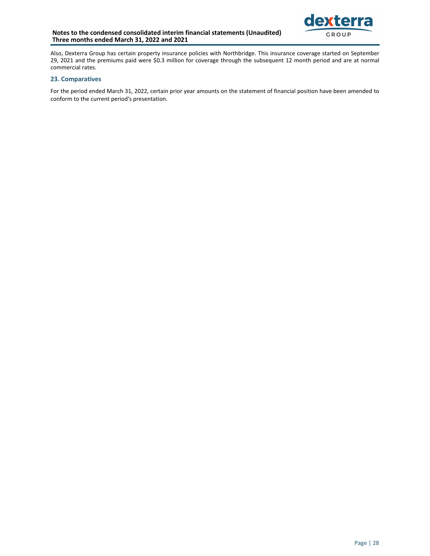### Notes to the condensed consolidated interim financial statements (Unaudited) Three months ended March 31, 2022 and 2021



Also, Dexterra Group has certain property insurance policies with Northbridge. This insurance coverage started on September 29, 2021 and the premiums paid were \$0.3 million for coverage through the subsequent 12 month period and are at normal commercial rates.

### **23. Comparatives**

For the period ended March 31, 2022, certain prior year amounts on the statement of financial position have been amended to conform to the current period's presentation.